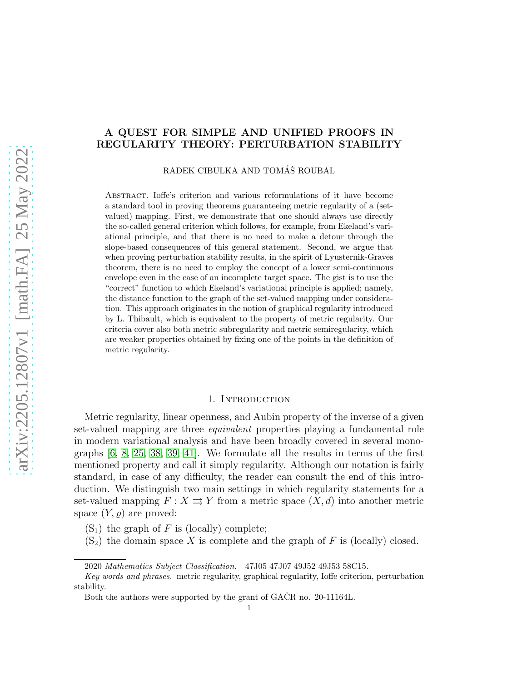# A QUEST FOR SIMPLE AND UNIFIED PROOFS IN REGULARITY THEORY: PERTURBATION STABILITY

RADEK CIBULKA AND TOMÁŠ ROUBAL

Abstract. Ioffe's criterion and various reformulations of it have become a standard tool in proving theorems guaranteeing metric regularity of a (setvalued) mapping. First, we demonstrate that one should always use directly the so-called general criterion which follows, for example, from Ekeland's variational principle, and that there is no need to make a detour through the slope-based consequences of this general statement. Second, we argue that when proving perturbation stability results, in the spirit of Lyusternik-Graves theorem, there is no need to employ the concept of a lower semi-continuous envelope even in the case of an incomplete target space. The gist is to use the "correct" function to which Ekeland's variational principle is applied; namely, the distance function to the graph of the set-valued mapping under consideration. This approach originates in the notion of graphical regularity introduced by L. Thibault, which is equivalent to the property of metric regularity. Our criteria cover also both metric subregularity and metric semiregularity, which are weaker properties obtained by fixing one of the points in the definition of metric regularity.

# 1. INTRODUCTION

Metric regularity, linear openness, and Aubin property of the inverse of a given set-valued mapping are three equivalent properties playing a fundamental role in modern variational analysis and have been broadly covered in several monographs [\[6,](#page-22-0) [8,](#page-22-1) [25,](#page-23-0) [38,](#page-24-0) [39,](#page-24-1) [41\]](#page-24-2). We formulate all the results in terms of the first mentioned property and call it simply regularity. Although our notation is fairly standard, in case of any difficulty, the reader can consult the end of this introduction. We distinguish two main settings in which regularity statements for a set-valued mapping  $F : X \rightrightarrows Y$  from a metric space  $(X, d)$  into another metric space  $(Y, \varrho)$  are proved:

- $(S_1)$  the graph of F is (locally) complete;
- $(S_2)$  the domain space X is complete and the graph of F is (locally) closed.

<sup>2020</sup> Mathematics Subject Classification. 47J05 47J07 49J52 49J53 58C15.

Key words and phrases. metric regularity, graphical regularity, Ioffe criterion, perturbation stability.

Both the authors were supported by the grant of GACR no. 20-11164L.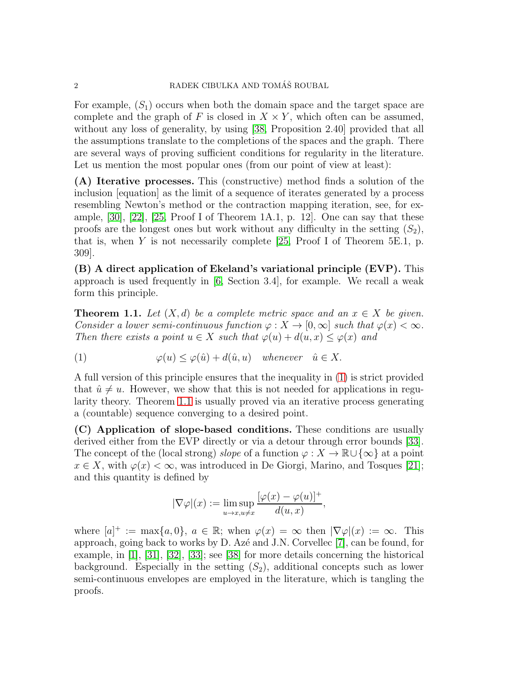For example,  $(S_1)$  occurs when both the domain space and the target space are complete and the graph of F is closed in  $X \times Y$ , which often can be assumed, without any loss of generality, by using [\[38,](#page-24-0) Proposition 2.40] provided that all the assumptions translate to the completions of the spaces and the graph. There are several ways of proving sufficient conditions for regularity in the literature. Let us mention the most popular ones (from our point of view at least):

(A) Iterative processes. This (constructive) method finds a solution of the inclusion [equation] as the limit of a sequence of iterates generated by a process resembling Newton's method or the contraction mapping iteration, see, for example, [\[30\]](#page-23-1), [\[22\]](#page-23-2), [\[25,](#page-23-0) Proof I of Theorem 1A.1, p. 12]. One can say that these proofs are the longest ones but work without any difficulty in the setting  $(S_2)$ , that is, when Y is not necessarily complete  $[25, \text{Proof I}$  of Theorem 5E.1, p. 309].

(B) A direct application of Ekeland's variational principle (EVP). This approach is used frequently in [\[6,](#page-22-0) Section 3.4], for example. We recall a weak form this principle.

<span id="page-1-1"></span>**Theorem 1.1.** Let  $(X, d)$  be a complete metric space and an  $x \in X$  be given. Consider a lower semi-continuous function  $\varphi: X \to [0, \infty]$  such that  $\varphi(x) < \infty$ . Then there exists a point  $u \in X$  such that  $\varphi(u) + d(u, x) \leq \varphi(x)$  and

<span id="page-1-0"></span>(1) 
$$
\varphi(u) \le \varphi(\hat{u}) + d(\hat{u}, u) \quad \text{whenever} \quad \hat{u} \in X.
$$

A full version of this principle ensures that the inequality in [\(1\)](#page-1-0) is strict provided that  $\hat{u} \neq u$ . However, we show that this is not needed for applications in regularity theory. Theorem [1.1](#page-1-1) is usually proved via an iterative process generating a (countable) sequence converging to a desired point.

(C) Application of slope-based conditions. These conditions are usually derived either from the EVP directly or via a detour through error bounds [\[33\]](#page-23-3). The concept of the (local strong) slope of a function  $\varphi: X \to \mathbb{R} \cup \{\infty\}$  at a point  $x \in X$ , with  $\varphi(x) < \infty$ , was introduced in De Giorgi, Marino, and Tosques [\[21\]](#page-23-4); and this quantity is defined by

$$
|\nabla \varphi|(x) := \limsup_{u \to x, u \neq x} \frac{[\varphi(x) - \varphi(u)]^+}{d(u, x)},
$$

where  $[a]^+ := \max\{a, 0\}$ ,  $a \in \mathbb{R}$ ; when  $\varphi(x) = \infty$  then  $|\nabla \varphi|(x) := \infty$ . This approach, going back to works by  $D$ . Azé and J.N. Corvellec [\[7\]](#page-22-2), can be found, for example, in [\[1\]](#page-22-3), [\[31\]](#page-23-5), [\[32\]](#page-23-6), [\[33\]](#page-23-3); see [\[38\]](#page-24-0) for more details concerning the historical background. Especially in the setting  $(S_2)$ , additional concepts such as lower semi-continuous envelopes are employed in the literature, which is tangling the proofs.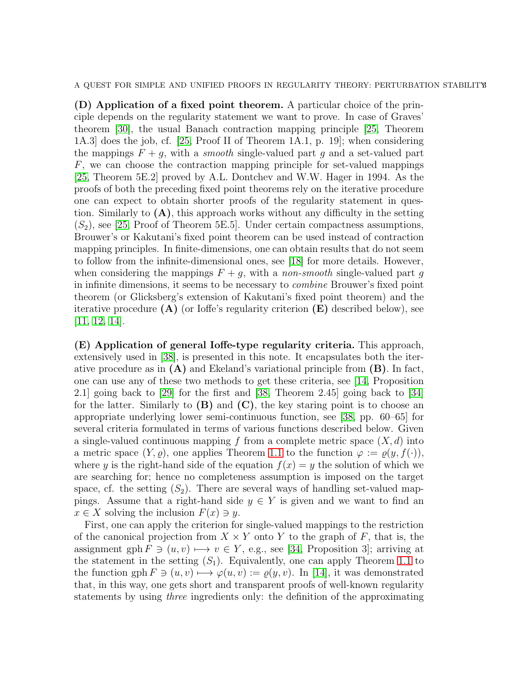A QUEST FOR SIMPLE AND UNIFIED PROOFS IN REGULARITY THEORY: PERTURBATION STABILITY

(D) Application of a fixed point theorem. A particular choice of the principle depends on the regularity statement we want to prove. In case of Graves' theorem [\[30\]](#page-23-1), the usual Banach contraction mapping principle [\[25,](#page-23-0) Theorem 1A.3] does the job, cf. [\[25,](#page-23-0) Proof II of Theorem 1A.1, p. 19]; when considering the mappings  $F + q$ , with a *smooth* single-valued part q and a set-valued part F, we can choose the contraction mapping principle for set-valued mappings [\[25,](#page-23-0) Theorem 5E.2] proved by A.L. Dontchev and W.W. Hager in 1994. As the proofs of both the preceding fixed point theorems rely on the iterative procedure one can expect to obtain shorter proofs of the regularity statement in question. Similarly to  $(A)$ , this approach works without any difficulty in the setting  $(S_2)$ , see [\[25,](#page-23-0) Proof of Theorem 5E.5]. Under certain compactness assumptions, Brouwer's or Kakutani's fixed point theorem can be used instead of contraction mapping principles. In finite-dimensions, one can obtain results that do not seem to follow from the infinite-dimensional ones, see [\[18\]](#page-23-7) for more details. However, when considering the mappings  $F + g$ , with a non-smooth single-valued part g in infinite dimensions, it seems to be necessary to combine Brouwer's fixed point theorem (or Glicksberg's extension of Kakutani's fixed point theorem) and the iterative procedure  $(A)$  (or Ioffe's regularity criterion  $(E)$  described below), see [\[11,](#page-22-4) [12,](#page-23-8) [14\]](#page-23-9).

(E) Application of general Ioffe-type regularity criteria. This approach, extensively used in [\[38\]](#page-24-0), is presented in this note. It encapsulates both the iterative procedure as in  $(A)$  and Ekeland's variational principle from  $(B)$ . In fact, one can use any of these two methods to get these criteria, see [\[14,](#page-23-9) Proposition 2.1] going back to [\[29\]](#page-23-10) for the first and [\[38,](#page-24-0) Theorem 2.45] going back to [\[34\]](#page-23-11) for the latter. Similarly to  $(B)$  and  $(C)$ , the key staring point is to choose an appropriate underlying lower semi-continuous function, see [\[38,](#page-24-0) pp. 60–65] for several criteria formulated in terms of various functions described below. Given a single-valued continuous mapping f from a complete metric space  $(X, d)$  into a metric space  $(Y, \varrho)$ , one applies Theorem [1.1](#page-1-1) to the function  $\varphi := \varrho(y, f(\cdot)),$ where y is the right-hand side of the equation  $f(x) = y$  the solution of which we are searching for; hence no completeness assumption is imposed on the target space, cf. the setting  $(S_2)$ . There are several ways of handling set-valued mappings. Assume that a right-hand side  $y \in Y$  is given and we want to find an  $x \in X$  solving the inclusion  $F(x) \ni y$ .

First, one can apply the criterion for single-valued mappings to the restriction of the canonical projection from  $X \times Y$  onto Y to the graph of F, that is, the assignment gph  $F \ni (u, v) \longmapsto v \in Y$ , e.g., see [\[34,](#page-23-11) Proposition 3]; arriving at the statement in the setting  $(S_1)$ . Equivalently, one can apply Theorem [1.1](#page-1-1) to the function gph  $F \ni (u, v) \longmapsto \varphi(u, v) := \rho(y, v)$ . In [\[14\]](#page-23-9), it was demonstrated that, in this way, one gets short and transparent proofs of well-known regularity statements by using three ingredients only: the definition of the approximating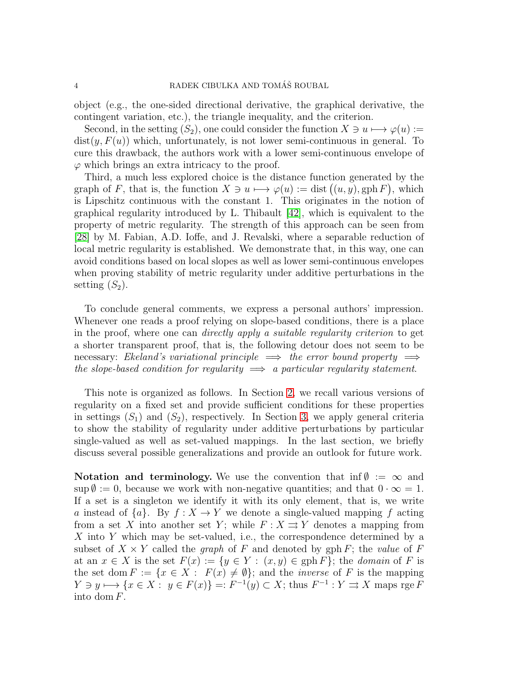object (e.g., the one-sided directional derivative, the graphical derivative, the contingent variation, etc.), the triangle inequality, and the criterion.

Second, in the setting  $(S_2)$ , one could consider the function  $X \ni u \mapsto \varphi(u) :=$  $dist(y, F(u))$  which, unfortunately, is not lower semi-continuous in general. To cure this drawback, the authors work with a lower semi-continuous envelope of  $\varphi$  which brings an extra intricacy to the proof.

Third, a much less explored choice is the distance function generated by the graph of F, that is, the function  $X \ni u \mapsto \varphi(u) := \text{dist}((u, y), \text{gph } F)$ , which is Lipschitz continuous with the constant 1. This originates in the notion of graphical regularity introduced by L. Thibault [\[42\]](#page-24-3), which is equivalent to the property of metric regularity. The strength of this approach can be seen from [\[28\]](#page-23-12) by M. Fabian, A.D. Ioffe, and J. Revalski, where a separable reduction of local metric regularity is established. We demonstrate that, in this way, one can avoid conditions based on local slopes as well as lower semi-continuous envelopes when proving stability of metric regularity under additive perturbations in the setting  $(S_2)$ .

To conclude general comments, we express a personal authors' impression. Whenever one reads a proof relying on slope-based conditions, there is a place in the proof, where one can directly apply a suitable regularity criterion to get a shorter transparent proof, that is, the following detour does not seem to be necessary: Ekeland's variational principle  $\implies$  the error bound property  $\implies$ the slope-based condition for regularity  $\implies$  a particular regularity statement.

This note is organized as follows. In Section [2,](#page-4-0) we recall various versions of regularity on a fixed set and provide sufficient conditions for these properties in settings  $(S_1)$  and  $(S_2)$ , respectively. In Section [3,](#page-10-0) we apply general criteria to show the stability of regularity under additive perturbations by particular single-valued as well as set-valued mappings. In the last section, we briefly discuss several possible generalizations and provide an outlook for future work.

Notation and terminology. We use the convention that inf $\emptyset := \infty$  and  $\sup \emptyset := 0$ , because we work with non-negative quantities; and that  $0 \cdot \infty = 1$ . If a set is a singleton we identify it with its only element, that is, we write a instead of  $\{a\}$ . By  $f: X \to Y$  we denote a single-valued mapping f acting from a set X into another set Y; while  $F: X \rightrightarrows Y$  denotes a mapping from X into Y which may be set-valued, i.e., the correspondence determined by a subset of  $X \times Y$  called the *graph* of F and denoted by gph F; the value of F at an  $x \in X$  is the set  $F(x) := \{y \in Y : (x, y) \in \text{gph } F\}$ ; the *domain* of F is the set dom  $F := \{x \in X : F(x) \neq \emptyset\}$ ; and the *inverse* of F is the mapping  $Y \ni y \longmapsto \{x \in X : y \in F(x)\} =: F^{-1}(y) \subset X$ ; thus  $F^{-1} : Y \rightrightarrows X$  maps rge F into dom F.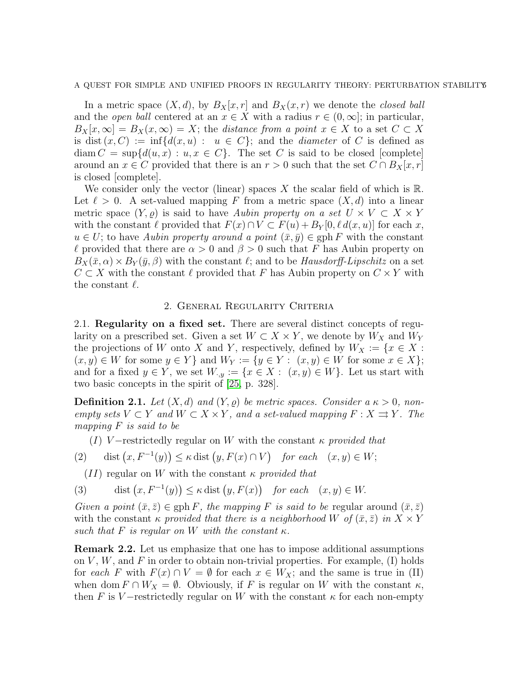#### A QUEST FOR SIMPLE AND UNIFIED PROOFS IN REGULARITY THEORY: PERTURBATION STABILITYS

In a metric space  $(X, d)$ , by  $B_X[x, r]$  and  $B_X(x, r)$  we denote the *closed ball* and the *open ball* centered at an  $x \in X$  with a radius  $r \in (0, \infty]$ ; in particular,  $B_X[x,\infty] = B_X(x,\infty) = X$ ; the distance from a point  $x \in X$  to a set  $C \subset X$ is dist  $(x, C) := \inf \{ d(x, u) : u \in C \}$ ; and the *diameter* of C is defined as  $\dim C = \sup \{d(u, x) : u, x \in C\}.$  The set C is said to be closed [complete] around an  $x \in C$  provided that there is an  $r > 0$  such that the set  $C \cap B_X[x, r]$ is closed [complete].

We consider only the vector (linear) spaces X the scalar field of which is  $\mathbb{R}$ . Let  $\ell > 0$ . A set-valued mapping F from a metric space  $(X, d)$  into a linear metric space  $(Y, \rho)$  is said to have Aubin property on a set  $U \times V \subset X \times Y$ with the constant  $\ell$  provided that  $F(x) \cap V \subset F(u) + B_Y[0, \ell d(x, u)]$  for each x,  $u \in U$ ; to have Aubin property around a point  $(\bar{x}, \bar{y}) \in \text{gph } F$  with the constant  $\ell$  provided that there are  $\alpha > 0$  and  $\beta > 0$  such that F has Aubin property on  $B_X(\bar{x}, \alpha) \times B_Y(\bar{y}, \beta)$  with the constant  $\ell$ ; and to be *Hausdorff-Lipschitz* on a set  $C \subset X$  with the constant  $\ell$  provided that F has Aubin property on  $C \times Y$  with the constant  $\ell$ .

# 2. General Regularity Criteria

<span id="page-4-0"></span>2.1. Regularity on a fixed set. There are several distinct concepts of regularity on a prescribed set. Given a set  $W \subset X \times Y$ , we denote by  $W_X$  and  $W_Y$ the projections of W onto X and Y, respectively, defined by  $W_X := \{x \in X :$  $(x, y) \in W$  for some  $y \in Y$  and  $W_Y := \{y \in Y : (x, y) \in W$  for some  $x \in X\};$ and for a fixed  $y \in Y$ , we set  $W_{y} := \{x \in X : (x, y) \in W\}$ . Let us start with two basic concepts in the spirit of [\[25,](#page-23-0) p. 328].

**Definition 2.1.** Let  $(X, d)$  and  $(Y, \rho)$  be metric spaces. Consider a  $\kappa > 0$ , nonempty sets  $V \subset Y$  and  $W \subset X \times Y$ , and a set-valued mapping  $F : X \rightrightarrows Y$ . The mapping F is said to be

<span id="page-4-1"></span>(I) V-restrictedly regular on W with the constant  $\kappa$  provided that

(2) dist 
$$
(x, F^{-1}(y)) \le \kappa
$$
 dist  $(y, F(x) \cap V)$  for each  $(x, y) \in W$ ;

<span id="page-4-2"></span> $(II)$  regular on W with the constant  $\kappa$  provided that

(3) dist 
$$
(x, F^{-1}(y)) \le \kappa
$$
 dist  $(y, F(x))$  for each  $(x, y) \in W$ .

Given a point  $(\bar{x}, \bar{z}) \in \text{gph } F$ , the mapping F is said to be regular around  $(\bar{x}, \bar{z})$ with the constant  $\kappa$  provided that there is a neighborhood W of  $(\bar{x}, \bar{z})$  in  $X \times Y$ such that F is regular on W with the constant  $\kappa$ .

Remark 2.2. Let us emphasize that one has to impose additional assumptions on  $V, W$ , and  $F$  in order to obtain non-trivial properties. For example, (I) holds for each F with  $F(x) \cap V = \emptyset$  for each  $x \in W_X$ ; and the same is true in (II) when dom  $F \cap W_X = \emptyset$ . Obviously, if F is regular on W with the constant  $\kappa$ , then F is V-restrictedly regular on W with the constant  $\kappa$  for each non-empty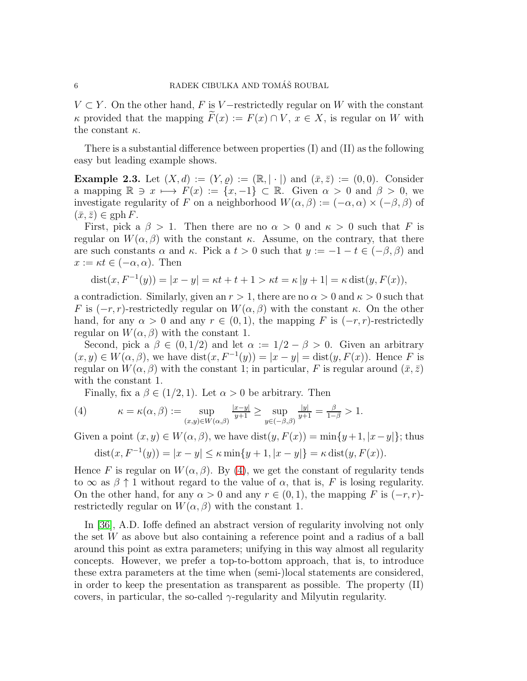$V \subset Y$ . On the other hand, F is V-restrictedly regular on W with the constant κ provided that the mapping  $F(x) := F(x) \cap V$ ,  $x \in X$ , is regular on W with the constant  $\kappa$ .

There is a substantial difference between properties (I) and (II) as the following easy but leading example shows.

<span id="page-5-1"></span>**Example 2.3.** Let  $(X, d) := (Y, \varrho) := (\mathbb{R}, |\cdot|)$  and  $(\bar{x}, \bar{z}) := (0, 0)$ . Consider a mapping  $\mathbb{R} \ni x \longmapsto F(x) := \{x, -1\} \subset \mathbb{R}$ . Given  $\alpha > 0$  and  $\beta > 0$ , we investigate regularity of F on a neighborhood  $W(\alpha, \beta) := (-\alpha, \alpha) \times (-\beta, \beta)$  of  $(\bar{x}, \bar{z}) \in \mathrm{gph}\, F.$ 

First, pick a  $\beta > 1$ . Then there are no  $\alpha > 0$  and  $\kappa > 0$  such that F is regular on  $W(\alpha, \beta)$  with the constant  $\kappa$ . Assume, on the contrary, that there are such constants  $\alpha$  and  $\kappa$ . Pick a  $t > 0$  such that  $y := -1 - t \in (-\beta, \beta)$  and  $x := \kappa t \in (-\alpha, \alpha)$ . Then

$$
dist(x, F^{-1}(y)) = |x - y| = \kappa t + t + 1 > \kappa t = \kappa |y + 1| = \kappa \, dist(y, F(x)),
$$

a contradiction. Similarly, given an  $r > 1$ , there are no  $\alpha > 0$  and  $\kappa > 0$  such that F is  $(-r, r)$ -restrictedly regular on  $W(\alpha, \beta)$  with the constant  $\kappa$ . On the other hand, for any  $\alpha > 0$  and any  $r \in (0,1)$ , the mapping F is  $(-r, r)$ -restrictedly regular on  $W(\alpha, \beta)$  with the constant 1.

Second, pick a  $\beta \in (0, 1/2)$  and let  $\alpha := 1/2 - \beta > 0$ . Given an arbitrary  $(x, y) \in W(\alpha, \beta)$ , we have  $dist(x, F^{-1}(y)) = |x - y| = dist(y, F(x))$ . Hence F is regular on  $W(\alpha, \beta)$  with the constant 1; in particular, F is regular around  $(\bar{x}, \bar{z})$ with the constant 1.

<span id="page-5-0"></span>Finally, fix a  $\beta \in (1/2, 1)$ . Let  $\alpha > 0$  be arbitrary. Then

(4) 
$$
\kappa = \kappa(\alpha, \beta) := \sup_{(x,y)\in W(\alpha,\beta)} \frac{|x-y|}{y+1} \ge \sup_{y\in(-\beta,\beta)} \frac{|y|}{y+1} = \frac{\beta}{1-\beta} > 1.
$$

Given a point  $(x, y) \in W(\alpha, \beta)$ , we have dist $(y, F(x)) = \min\{y + 1, |x - y|\}$ ; thus

$$
dist(x, F^{-1}(y)) = |x - y| \le \kappa \min\{y + 1, |x - y|\} = \kappa \, dist(y, F(x)).
$$

Hence F is regular on  $W(\alpha, \beta)$ . By [\(4\)](#page-5-0), we get the constant of regularity tends to  $\infty$  as  $\beta \uparrow 1$  without regard to the value of  $\alpha$ , that is, F is losing regularity. On the other hand, for any  $\alpha > 0$  and any  $r \in (0, 1)$ , the mapping F is  $(-r, r)$ restrictedly regular on  $W(\alpha, \beta)$  with the constant 1.

In [\[36\]](#page-24-4), A.D. Ioffe defined an abstract version of regularity involving not only the set  $W$  as above but also containing a reference point and a radius of a ball around this point as extra parameters; unifying in this way almost all regularity concepts. However, we prefer a top-to-bottom approach, that is, to introduce these extra parameters at the time when (semi-)local statements are considered, in order to keep the presentation as transparent as possible. The property (II) covers, in particular, the so-called  $\gamma$ -regularity and Milyutin regularity.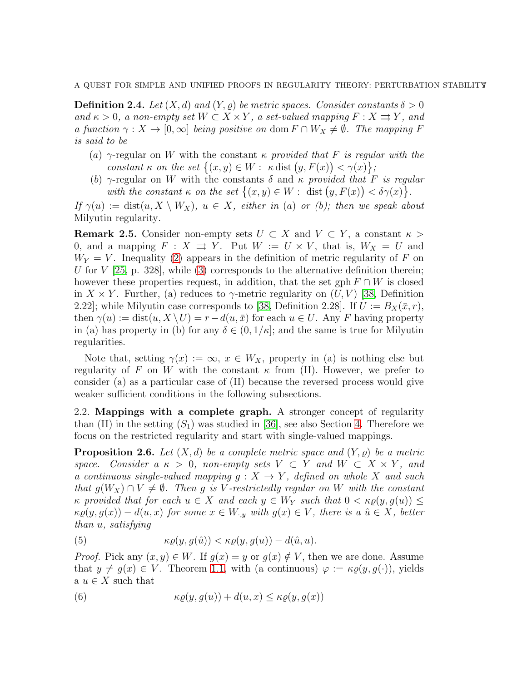<span id="page-6-3"></span>**Definition 2.4.** Let  $(X, d)$  and  $(Y, \rho)$  be metric spaces. Consider constants  $\delta > 0$ and  $\kappa > 0$ , a non-empty set  $W \subset X \times Y$ , a set-valued mapping  $F : X \rightrightarrows Y$ , and a function  $\gamma: X \to [0,\infty]$  being positive on dom  $F \cap W_X \neq \emptyset$ . The mapping F is said to be

- (a)  $\gamma$ -regular on W with the constant  $\kappa$  provided that F is regular with the constant  $\kappa$  on the set  $\{(x, y) \in W : \kappa \text{ dist } (y, F(x)) < \gamma(x)\}\;$
- (b)  $\gamma$ -regular on W with the constants  $\delta$  and  $\kappa$  provided that F is regular with the constant  $\kappa$  on the set  $\{(x, y) \in W : \text{ dist } (y, F(x)) < \delta \gamma(x)\}.$

If  $\gamma(u) := \text{dist}(u, X \setminus W_X), u \in X$ , either in (a) or (b); then we speak about Milyutin regularity.

**Remark 2.5.** Consider non-empty sets  $U \subset X$  and  $V \subset Y$ , a constant  $\kappa >$ 0, and a mapping  $F : X \rightrightarrows Y$ . Put  $W := U \times V$ , that is,  $W_X = U$  and  $W_Y = V$ . Inequality [\(2\)](#page-4-1) appears in the definition of metric regularity of F on U for  $V$  [\[25,](#page-23-0) p. 328], while [\(3\)](#page-4-2) corresponds to the alternative definition therein; however these properties request, in addition, that the set gph  $F \cap W$  is closed in  $X \times Y$ . Further, (a) reduces to  $\gamma$ -metric regularity on  $(U, V)$  [\[38,](#page-24-0) Definition 2.22]; while Milyutin case corresponds to [\[38,](#page-24-0) Definition 2.28]. If  $U := B_X(\bar{x}, r)$ , then  $\gamma(u) := \text{dist}(u, X \setminus U) = r - d(u, \bar{x})$  for each  $u \in U$ . Any F having property in (a) has property in (b) for any  $\delta \in (0, 1/\kappa]$ ; and the same is true for Milyutin regularities.

Note that, setting  $\gamma(x) := \infty$ ,  $x \in W_X$ , property in (a) is nothing else but regularity of F on W with the constant  $\kappa$  from (II). However, we prefer to consider (a) as a particular case of (II) because the reversed process would give weaker sufficient conditions in the following subsections.

2.2. Mappings with a complete graph. A stronger concept of regularity than (II) in the setting  $(S_1)$  was studied in [\[36\]](#page-24-4), see also Section [4.](#page-21-0) Therefore we focus on the restricted regularity and start with single-valued mappings.

<span id="page-6-2"></span>**Proposition 2.6.** Let  $(X, d)$  be a complete metric space and  $(Y, \varrho)$  be a metric space. Consider a  $\kappa > 0$ , non-empty sets  $V \subset Y$  and  $W \subset X \times Y$ , and a continuous single-valued mapping  $g: X \to Y$ , defined on whole X and such that  $g(W_X) \cap V \neq \emptyset$ . Then g is V-restrictedly regular on W with the constant  $\kappa$  provided that for each  $u \in X$  and each  $y \in W_Y$  such that  $0 < \kappa \varrho(y, g(u)) \leq$  $\kappa \varrho(y, g(x)) - d(u, x)$  for some  $x \in W_{\cdot,y}$  with  $g(x) \in V$ , there is a  $\hat{u} \in X$ , better than u, satisfying

<span id="page-6-1"></span>(5) 
$$
\kappa \varrho(y, g(\hat{u})) < \kappa \varrho(y, g(u)) - d(\hat{u}, u).
$$

*Proof.* Pick any  $(x, y) \in W$ . If  $g(x) = y$  or  $g(x) \notin V$ , then we are done. Assume that  $y \neq g(x) \in V$ . Theorem [1.1,](#page-1-1) with (a continuous)  $\varphi := \kappa \varrho(y, g(\cdot))$ , yields a  $u \in X$  such that

<span id="page-6-0"></span>(6) 
$$
\kappa \varrho(y, g(u)) + d(u, x) \leq \kappa \varrho(y, g(x))
$$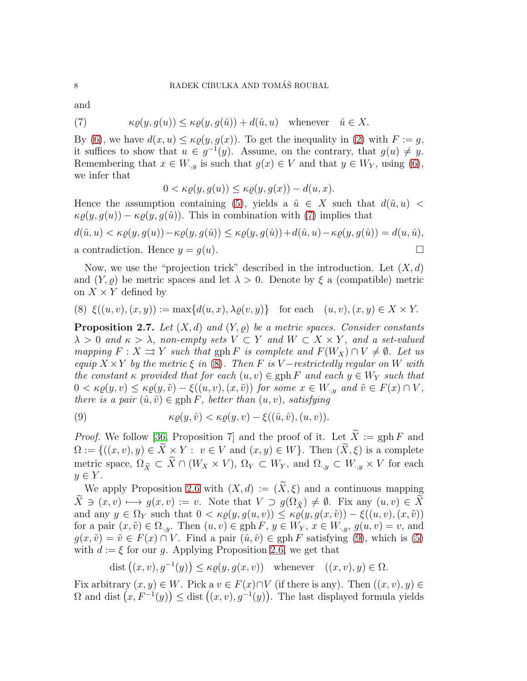and

<span id="page-7-0"></span>(7) 
$$
\kappa \varrho(y, g(u)) \leq \kappa \varrho(y, g(\hat{u})) + d(\hat{u}, u) \quad \text{whenever} \quad \hat{u} \in X.
$$

By [\(6\)](#page-6-0), we have  $d(x, u) \leq \kappa \rho(y, q(x))$ . To get the inequality in [\(2\)](#page-4-1) with  $F := q$ , it suffices to show that  $u \in g^{-1}(y)$ . Assume, on the contrary, that  $g(u) \neq y$ . Remembering that  $x \in W_{y}$  is such that  $g(x) \in V$  and that  $y \in W_Y$ , using [\(6\)](#page-6-0), we infer that

$$
0 < \kappa \varrho(y, g(u)) \leq \kappa \varrho(y, g(x)) - d(u, x).
$$

Hence the assumption containing [\(5\)](#page-6-1), yields a  $\hat{u} \in X$  such that  $d(\hat{u}, u)$  <  $\kappa \varrho(y, g(u)) - \kappa \varrho(y, g(\hat{u}))$ . This in combination with [\(7\)](#page-7-0) implies that

$$
d(\hat{u}, u) < \kappa \varrho(y, g(u)) - \kappa \varrho(y, g(\hat{u})) \le \kappa \varrho(y, g(\hat{u})) + d(\hat{u}, u) - \kappa \varrho(y, g(\hat{u})) = d(u, \hat{u}),
$$
\na contradiction. Hence  $y = g(u)$ .

Now, we use the "projection trick" described in the introduction. Let  $(X, d)$ and  $(Y, \rho)$  be metric spaces and let  $\lambda > 0$ . Denote by  $\xi$  a (compatible) metric on  $X \times Y$  defined by

<span id="page-7-1"></span>(8) 
$$
\xi((u,v),(x,y)) := \max\{d(u,x),\lambda\varrho(v,y)\}\
$$
 for each  $(u,v),(x,y) \in X \times Y$ .

<span id="page-7-3"></span>**Proposition 2.7.** Let  $(X, d)$  and  $(Y, \rho)$  be a metric spaces. Consider constants  $\lambda > 0$  and  $\kappa > \lambda$ , non-empty sets  $V \subset Y$  and  $W \subset X \times Y$ , and a set-valued mapping  $F : X \rightrightarrows Y$  such that  $gph F$  is complete and  $F(W_X) \cap V \neq \emptyset$ . Let us equip  $X \times Y$  by the metric  $\xi$  in [\(8\)](#page-7-1). Then F is V-restrictedly regular on W with the constant  $\kappa$  provided that for each  $(u, v) \in \text{gph } F$  and each  $y \in W_Y$  such that  $0 < \kappa \varrho(y, v) \leq \kappa \varrho(y, \tilde{v}) - \xi((u, v), (x, \tilde{v}))$  for some  $x \in W_{\cdot, y}$  and  $\tilde{v} \in F(x) \cap V$ , there is a pair  $(\hat{u}, \hat{v}) \in \text{gph } F$ , better than  $(u, v)$ , satisfying

<span id="page-7-2"></span>(9) 
$$
\kappa \varrho(y, \hat{v}) < \kappa \varrho(y, v) - \xi((\hat{u}, \hat{v}), (u, v)).
$$

*Proof.* We follow [\[36,](#page-24-4) Proposition 7] and the proof of it. Let  $\widetilde{X} := \text{gph } F$  and  $\Omega := \{((x, v), y) \in \widetilde{X} \times Y : v \in V \text{ and } (x, y) \in W\}.$  Then  $(\widetilde{X}, \xi)$  is a complete metric space,  $\Omega_{\tilde{X}} \subset \tilde{X} \cap (W_X \times V), \Omega_Y \subset W_Y$ , and  $\Omega_{\cdot,y} \subset W_{\cdot,y} \times V$  for each  $y \in Y$ .

We apply Proposition [2.6](#page-6-2) with  $(X, d) := (\tilde{X}, \xi)$  and a continuous mapping  $\widetilde{X} \ni (x, v) \longmapsto g(x, v) := v$ . Note that  $V \supset g(\Omega_{\widetilde{Y}}) \neq \emptyset$ . Fix any  $(u, v) \in \widetilde{X}$ and any  $y \in \Omega_Y$  such that  $0 < \kappa \varrho(y, g(u, v)) \leq \kappa \varrho(y, g(x, \tilde{v})) - \xi((u, v), (x, \tilde{v}))$ for a pair  $(x, \tilde{v}) \in \Omega_{y}$ . Then  $(u, v) \in \text{gph } F, y \in W_Y, x \in W_{y}$ ,  $g(u, v) = v$ , and  $g(x, \tilde{v}) = \tilde{v} \in F(x) \cap V$ . Find a pair  $(\hat{u}, \hat{v}) \in gph F$  satisfying [\(9\)](#page-7-2), which is [\(5\)](#page-6-1) with  $d := \xi$  for our g. Applying Proposition [2.6,](#page-6-2) we get that

dist  $((x, v), g^{-1}(y)) \leq \kappa \varrho(y, g(x, v))$  whenever  $((x, v), y) \in \Omega$ .

Fix arbitrary  $(x, y) \in W$ . Pick a  $v \in F(x) \cap V$  (if there is any). Then  $((x, v), y) \in$  $\Omega$  and dist  $(x, F^{-1}(y)) \leq$  dist  $((x, v), g^{-1}(y))$ . The last displayed formula yields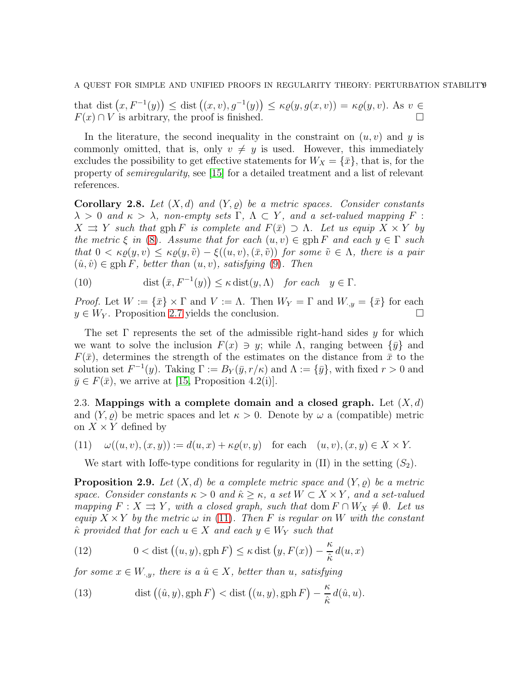that dist  $(x, F^{-1}(y)) \leq$  dist  $((x, v), g^{-1}(y)) \leq \kappa \varrho(y, g(x, v)) = \kappa \varrho(y, v)$ . As  $v \in$  $F(x) \cap V$  is arbitrary, the proof is finished.

In the literature, the second inequality in the constraint on  $(u, v)$  and y is commonly omitted, that is, only  $v \neq y$  is used. However, this immediately excludes the possibility to get effective statements for  $W_X = \{\bar{x}\}\$ , that is, for the property of semiregularity, see [\[15\]](#page-23-13) for a detailed treatment and a list of relevant references.

<span id="page-8-4"></span>Corollary 2.8. Let  $(X,d)$  and  $(Y, \rho)$  be a metric spaces. Consider constants  $\lambda > 0$  and  $\kappa > \lambda$ , non-empty sets  $\Gamma$ ,  $\Lambda \subset Y$ , and a set-valued mapping F :  $X \rightrightarrows Y$  such that gph F is complete and  $F(\bar{x}) \supset \Lambda$ . Let us equip  $X \times Y$  by the metric  $\xi$  in [\(8\)](#page-7-1). Assume that for each  $(u, v) \in \text{gph } F$  and each  $y \in \Gamma$  such that  $0 < \kappa \rho(y, v) \leq \kappa \rho(y, \tilde{v}) - \xi((u, v), (\bar{x}, \tilde{v}))$  for some  $\tilde{v} \in \Lambda$ , there is a pair  $(\hat{u}, \hat{v}) \in \text{gph } F$ , better than  $(u, v)$ , satisfying [\(9\)](#page-7-2). Then

<span id="page-8-5"></span>(10) 
$$
\text{dist}\left(\bar{x}, F^{-1}(y)\right) \leq \kappa \, \text{dist}(y, \Lambda) \quad \text{for each} \quad y \in \Gamma.
$$

*Proof.* Let  $W := \{\bar{x}\}\times \Gamma$  and  $V := \Lambda$ . Then  $W_Y = \Gamma$  and  $W_{\cdot,y} = \{\bar{x}\}\$  for each  $y \in W_Y$ . Proposition [2.7](#page-7-3) yields the conclusion.

The set  $\Gamma$  represents the set of the admissible right-hand sides y for which we want to solve the inclusion  $F(x) \ni y$ ; while  $\Lambda$ , ranging between  $\{\bar{y}\}\$  and  $F(\bar{x})$ , determines the strength of the estimates on the distance from  $\bar{x}$  to the solution set  $F^{-1}(y)$ . Taking  $\Gamma := B_Y(\bar{y}, r/\kappa)$  and  $\Lambda := {\bar{y}}$ , with fixed  $r > 0$  and  $\bar{y} \in F(\bar{x})$ , we arrive at [\[15,](#page-23-13) Proposition 4.2(i)].

2.3. Mappings with a complete domain and a closed graph. Let  $(X, d)$ and  $(Y, \varrho)$  be metric spaces and let  $\kappa > 0$ . Denote by  $\omega$  a (compatible) metric on  $X \times Y$  defined by

(11) 
$$
\omega((u,v),(x,y)) := d(u,x) + \kappa \varrho(v,y) \quad \text{for each} \quad (u,v),(x,y) \in X \times Y.
$$

<span id="page-8-0"></span>We start with Ioffe-type conditions for regularity in  $(II)$  in the setting  $(S_2)$ .

<span id="page-8-2"></span>**Proposition 2.9.** Let  $(X, d)$  be a complete metric space and  $(Y, \rho)$  be a metric space. Consider constants  $\kappa > 0$  and  $\hat{\kappa} \geq \kappa$ , a set  $W \subset X \times Y$ , and a set-valued mapping  $F : X \rightrightarrows Y$ , with a closed graph, such that dom  $F \cap W_X \neq \emptyset$ . Let us equip  $X \times Y$  by the metric  $\omega$  in [\(11\)](#page-8-0). Then F is regular on W with the constant  $\hat{\kappa}$  provided that for each  $u \in X$  and each  $y \in W_Y$  such that

<span id="page-8-1"></span>(12) 
$$
0 < \text{dist}\left((u, y), \text{gph}\, F\right) \leq \kappa \, \text{dist}\left(y, F(x)\right) - \frac{\kappa}{\hat{\kappa}}\,d(u, x)
$$

for some  $x \in W_{y}$ , there is a  $\hat{u} \in X$ , better than u, satisfying

<span id="page-8-3"></span>(13) 
$$
\operatorname{dist}((\hat{u}, y), \operatorname{gph} F) < \operatorname{dist}((u, y), \operatorname{gph} F) - \frac{\kappa}{\hat{\kappa}} d(\hat{u}, u).
$$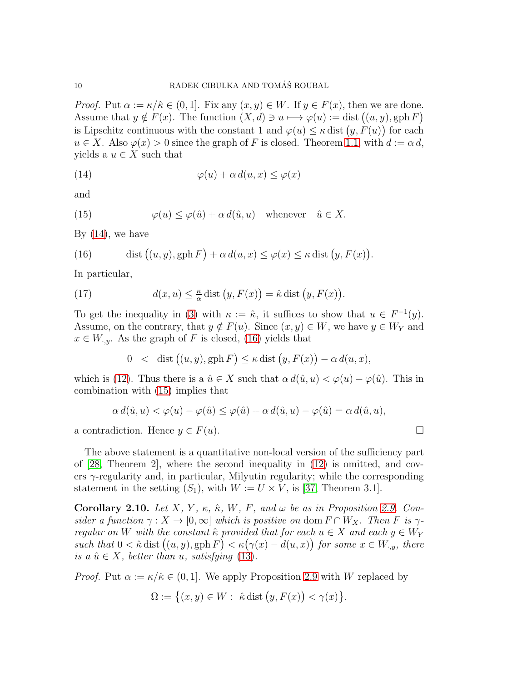*Proof.* Put  $\alpha := \kappa / \hat{\kappa} \in (0, 1]$ . Fix any  $(x, y) \in W$ . If  $y \in F(x)$ , then we are done. Assume that  $y \notin F(x)$ . The function  $(X, d) \ni u \longmapsto \varphi(u) := \text{dist}((u, y), \text{gph } F)$ is Lipschitz continuous with the constant 1 and  $\varphi(u) \leq \kappa$  dist  $(y, F(u))$  for each  $u \in X$ . Also  $\varphi(x) > 0$  since the graph of F is closed. Theorem [1.1,](#page-1-1) with  $d := \alpha d$ . yields a  $u \in X$  such that

<span id="page-9-0"></span>(14) 
$$
\varphi(u) + \alpha d(u, x) \leq \varphi(x)
$$

and

<span id="page-9-2"></span>(15) 
$$
\varphi(u) \leq \varphi(\hat{u}) + \alpha d(\hat{u}, u) \quad \text{whenever} \quad \hat{u} \in X.
$$

By  $(14)$ , we have

<span id="page-9-1"></span>(16) dist 
$$
((u, y), \text{gph } F) + \alpha d(u, x) \le \varphi(x) \le \kappa \text{ dist } (y, F(x)).
$$

In particular,

(17) 
$$
d(x, u) \leq \frac{\kappa}{\alpha} \text{dist}(y, F(x)) = \hat{\kappa} \text{dist}(y, F(x)).
$$

To get the inequality in [\(3\)](#page-4-2) with  $\kappa := \hat{\kappa}$ , it suffices to show that  $u \in F^{-1}(y)$ . Assume, on the contrary, that  $y \notin F(u)$ . Since  $(x, y) \in W$ , we have  $y \in W_Y$  and  $x \in W_{y}$ . As the graph of F is closed, [\(16\)](#page-9-1) yields that

$$
0 < \text{dist}((u, y), \text{gph } F) \leq \kappa \text{dist}(y, F(x)) - \alpha d(u, x),
$$

which is [\(12\)](#page-8-1). Thus there is a  $\hat{u} \in X$  such that  $\alpha d(\hat{u}, u) < \varphi(u) - \varphi(\hat{u})$ . This in combination with [\(15\)](#page-9-2) implies that

$$
\alpha d(\hat{u}, u) < \varphi(u) - \varphi(\hat{u}) \le \varphi(\hat{u}) + \alpha d(\hat{u}, u) - \varphi(\hat{u}) = \alpha d(\hat{u}, u),
$$

a contradiction. Hence  $y \in F(u)$ .

The above statement is a quantitative non-local version of the sufficiency part of  $[28,$  Theorem 2, where the second inequality in  $(12)$  is omitted, and covers  $\gamma$ -regularity and, in particular, Milyutin regularity; while the corresponding statement in the setting  $(S_1)$ , with  $W := U \times V$ , is [\[37,](#page-24-5) Theorem 3.1].

<span id="page-9-3"></span>Corollary 2.10. Let X, Y,  $\kappa$ ,  $\hat{\kappa}$ , W, F, and  $\omega$  be as in Proposition [2.9.](#page-8-2) Consider a function  $\gamma : X \to [0, \infty]$  which is positive on dom  $F \cap W_X$ . Then F is  $\gamma$ regular on W with the constant  $\hat{\kappa}$  provided that for each  $u \in X$  and each  $y \in W_Y$ such that  $0 < \hat{\kappa}$  dist  $((u, y), \text{gph } F) < \kappa (\gamma(x) - d(u, x))$  for some  $x \in W_{\cdot,y}$ , there is a  $\hat{u} \in X$ , better than u, satisfying [\(13\)](#page-8-3).

*Proof.* Put  $\alpha := \kappa / \hat{\kappa} \in (0, 1]$ . We apply Proposition [2.9](#page-8-2) with W replaced by

$$
\Omega := \left\{ (x, y) \in W : \hat{\kappa} \text{ dist } (y, F(x)) < \gamma(x) \right\}.
$$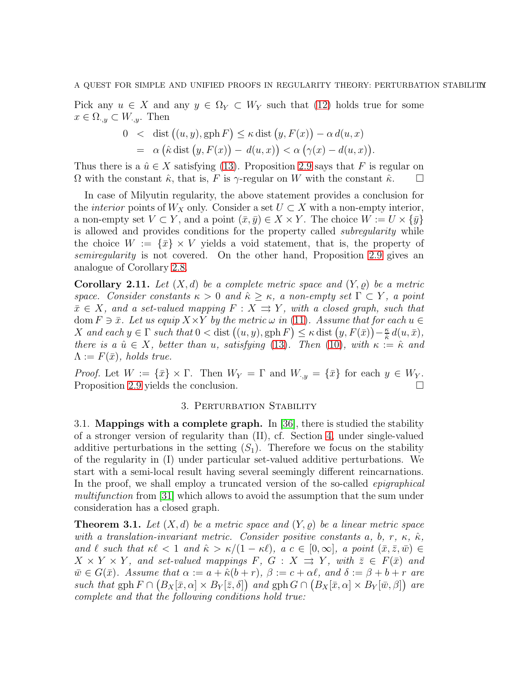Pick any  $u \in X$  and any  $y \in \Omega_Y \subset W_Y$  such that [\(12\)](#page-8-1) holds true for some  $x \in \Omega_{\cdot,y} \subset W_{\cdot,y}$ . Then

$$
0 < \text{dist} ((u, y), \text{gph } F) \leq \kappa \text{dist} (y, F(x)) - \alpha d(u, x)
$$
  
=  $\alpha (\hat{\kappa} \text{dist} (y, F(x)) - d(u, x)) < \alpha (\gamma(x) - d(u, x)).$ 

Thus there is a  $\hat{u} \in X$  satisfying [\(13\)](#page-8-3). Proposition [2.9](#page-8-2) says that F is regular on  $\Omega$  with the constant  $\hat{\kappa}$ , that is, F is  $\gamma$ -regular on W with the constant  $\hat{\kappa}$ .

In case of Milyutin regularity, the above statement provides a conclusion for the *interior* points of  $W_X$  only. Consider a set  $U \subset X$  with a non-empty interior, a non-empty set  $V \subset Y$ , and a point  $(\bar{x}, \bar{y}) \in X \times Y$ . The choice  $W := U \times {\{\bar{y}\}}$ is allowed and provides conditions for the property called subregularity while the choice  $W := \{\bar{x}\}\times V$  yields a void statement, that is, the property of semiregularity is not covered. On the other hand, Proposition [2.9](#page-8-2) gives an analogue of Corollary [2.8.](#page-8-4)

<span id="page-10-2"></span>**Corollary 2.11.** Let  $(X, d)$  be a complete metric space and  $(Y, \rho)$  be a metric space. Consider constants  $\kappa > 0$  and  $\hat{\kappa} > \kappa$ , a non-empty set  $\Gamma \subset Y$ , a point  $\bar{x} \in X$ , and a set-valued mapping  $F : X \rightrightarrows Y$ , with a closed graph, such that dom  $F \ni \bar{x}$ . Let us equip  $X \times Y$  by the metric  $\omega$  in [\(11\)](#page-8-0). Assume that for each  $u \in$ X and each  $y \in \Gamma$  such that  $0 < \text{dist}((u, y), \text{gph } F) \leq \kappa \text{dist}(y, F(\bar{x})) - \frac{\kappa}{\hat{x}}$  $\frac{\kappa}{\hat{\kappa}} d(u,\bar{x}),$ there is a  $\hat{u} \in X$ , better than u, satisfying [\(13\)](#page-8-3). Then [\(10\)](#page-8-5), with  $\kappa := \hat{\kappa}$  and  $\Lambda := F(\bar{x})$ , holds true.

<span id="page-10-0"></span>*Proof.* Let  $W := \{\bar{x}\}\times\Gamma$ . Then  $W_Y = \Gamma$  and  $W_{\cdot,y} = \{\bar{x}\}\$ for each  $y \in W_Y$ . Proposition [2.9](#page-8-2) yields the conclusion.

## 3. PERTURBATION STABILITY

3.1. Mappings with a complete graph. In [\[36\]](#page-24-4), there is studied the stability of a stronger version of regularity than (II), cf. Section [4,](#page-21-0) under single-valued additive perturbations in the setting  $(S_1)$ . Therefore we focus on the stability of the regularity in (I) under particular set-valued additive perturbations. We start with a semi-local result having several seemingly different reincarnations. In the proof, we shall employ a truncated version of the so-called *epigraphical* multifunction from [\[31\]](#page-23-5) which allows to avoid the assumption that the sum under consideration has a closed graph.

<span id="page-10-1"></span>**Theorem 3.1.** Let  $(X, d)$  be a metric space and  $(Y, \rho)$  be a linear metric space with a translation-invariant metric. Consider positive constants a, b, r,  $\kappa$ ,  $\hat{\kappa}$ , and  $\ell$  such that  $\kappa\ell < 1$  and  $\hat{\kappa} > \kappa/(1 - \kappa\ell)$ ,  $a \in [0,\infty]$ , a point  $(\bar{x}, \bar{z}, \bar{w}) \in$  $X \times Y \times Y$ , and set-valued mappings F,  $G : X \rightrightarrows Y$ , with  $\overline{z} \in F(\overline{x})$  and  $\overline{w} \in G(\overline{x})$ . Assume that  $\alpha := a + \hat{\kappa}(b+r)$ ,  $\beta := c + \alpha \ell$ , and  $\delta := \beta + b + r$  are such that gph  $F \cap (B_X[\bar{x}, \alpha] \times B_Y[\bar{z}, \delta])$  and gph  $G \cap (B_X[\bar{x}, \alpha] \times B_Y[\bar{w}, \beta])$  are complete and that the following conditions hold true: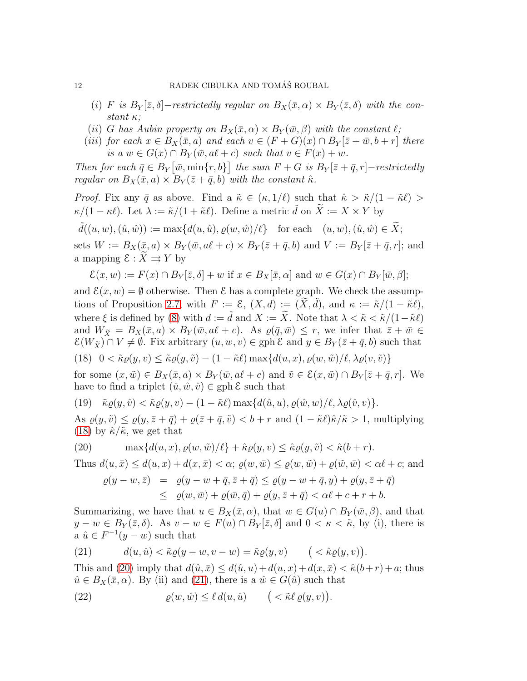- (i) F is  $B_Y[\bar{z}, \delta]$ -restrictedly regular on  $B_X(\bar{x}, \alpha) \times B_Y(\bar{z}, \delta)$  with the constant  $\kappa$ ;
- (ii) G has Aubin property on  $B_X(\bar{x}, \alpha) \times B_Y(\bar{w}, \beta)$  with the constant  $\ell$ ;
- (iii) for each  $x \in B_X(\bar{x}, a)$  and each  $v \in (F+G)(x) \cap B_Y[\bar{z}+\bar{w}, b+r]$  there is a  $w \in G(x) \cap B_Y(\bar{w}, a\ell + c)$  such that  $v \in F(x) + w$ .

Then for each  $\bar{q} \in B_Y[\bar{w}, \min\{r, b\}]$  the sum  $F + G$  is  $B_Y[\bar{z} + \bar{q}, r]$ -restrictedly regular on  $B_X(\bar{x}, a) \times B_Y(\bar{z} + \bar{q}, b)$  with the constant  $\hat{\kappa}$ .

*Proof.* Fix any  $\bar{q}$  as above. Find a  $\tilde{\kappa} \in (\kappa, 1/\ell)$  such that  $\hat{\kappa} > \tilde{\kappa}/(1 - \tilde{\kappa}\ell)$  $\kappa/(1-\kappa\ell)$ . Let  $\lambda := \tilde{\kappa}/(1+\tilde{\kappa}\ell)$ . Define a metric  $\tilde{d}$  on  $\tilde{X} := X \times Y$  by

 $\tilde{d}((u, w), (\hat{u}, \hat{w})) := \max\{d(u, \hat{u}), \varrho(w, \hat{w})/\ell\}$  for each  $(u, w), (\hat{u}, \hat{w}) \in \widetilde{X};$ sets  $W := B_X(\bar{x}, a) \times B_Y(\bar{w}, a\ell + c) \times B_Y(\bar{z} + \bar{q}, b)$  and  $V := B_Y[\bar{z} + \bar{q}, r]$ ; and a mapping  $\mathcal{E} : \widetilde{X} \rightrightarrows Y$  by

$$
\mathcal{E}(x,w) := F(x) \cap B_Y[\overline{z}, \delta] + w \text{ if } x \in B_X[\overline{x}, \alpha] \text{ and } w \in G(x) \cap B_Y[\overline{w}, \beta];
$$

and  $\mathcal{E}(x, w) = \emptyset$  otherwise. Then  $\mathcal{E}$  has a complete graph. We check the assump-tions of Proposition [2.7,](#page-7-3) with  $F := \mathcal{E}, (X, d) := (\widetilde{X}, \widetilde{d})$ , and  $\kappa := \widetilde{\kappa}/(1 - \widetilde{\kappa}\ell)$ , where  $\xi$  is defined by [\(8\)](#page-7-1) with  $d := \tilde{d}$  and  $X := \tilde{X}$ . Note that  $\lambda < \tilde{\kappa} < \tilde{\kappa}/(1-\tilde{\kappa}\ell)$ and  $W_{\tilde{X}} = B_X(\bar{x}, a) \times B_Y(\bar{w}, a\ell + c)$ . As  $\varrho(\bar{q}, \bar{w}) \leq r$ , we infer that  $\bar{z} + \bar{w} \in$  $\mathcal{E}(W_{\tilde{X}}) \cap V \neq \emptyset$ . Fix arbitrary  $(u, w, v) \in \text{gph } \mathcal{E}$  and  $y \in B_Y(\bar{z} + \bar{q}, b)$  such that

<span id="page-11-0"></span>(18) 
$$
0 < \tilde{\kappa}\varrho(y,v) \leq \tilde{\kappa}\varrho(y,\tilde{v}) - (1 - \tilde{\kappa}\ell) \max\{d(u,x), \varrho(w,\tilde{w})/\ell, \lambda\varrho(v,\tilde{v})\}
$$

for some  $(x,\tilde{w}) \in B_X(\bar{x},a) \times B_Y(\bar{w},a\ell+c)$  and  $\tilde{v} \in \mathcal{E}(x,\tilde{w}) \cap B_Y[\bar{z}+\bar{q},r]$ . We have to find a triplet  $(\hat{u}, \hat{w}, \hat{v}) \in \text{gph } \mathcal{E}$  such that

<span id="page-11-4"></span>(19)  $\tilde{\kappa}\varrho(y,\hat{v}) < \tilde{\kappa}\varrho(y,v) - (1-\tilde{\kappa}\ell)\max\{d(\hat{u},u),\varrho(\hat{w},w)/\ell,\lambda\varrho(\hat{v},v)\}.$ 

As  $\varrho(y, \tilde{v}) \leq \varrho(y, \bar{z} + \bar{q}) + \varrho(\bar{z} + \bar{q}, \tilde{v}) < b + r$  and  $(1 - \tilde{\kappa}\ell)\hat{\kappa}/\tilde{\kappa} > 1$ , multiplying [\(18\)](#page-11-0) by  $\hat{\kappa}/\tilde{\kappa}$ , we get that

(20) 
$$
\max\{d(u, x), \varrho(w, \tilde{w})/\ell\} + \hat{\kappa}\varrho(y, v) \leq \hat{\kappa}\varrho(y, \tilde{v}) < \hat{\kappa}(b + r).
$$

Thus  $d(u, \bar{x}) \leq d(u, x) + d(x, \bar{x}) < \alpha$ ;  $\rho(w, \bar{w}) \leq \rho(w, \tilde{w}) + \rho(\tilde{w}, \bar{w}) < \alpha \ell + c$ ; and

<span id="page-11-1"></span>
$$
\varrho(y-w, \bar{z}) = \varrho(y-w+\bar{q}, \bar{z}+\bar{q}) \leq \varrho(y-w+\bar{q}, y) + \varrho(y, \bar{z}+\bar{q})
$$
  

$$
\leq \varrho(w, \bar{w}) + \varrho(\bar{w}, \bar{q}) + \varrho(y, \bar{z}+\bar{q}) < \alpha\ell + c + r + b.
$$

Summarizing, we have that  $u \in B_X(\bar{x}, \alpha)$ , that  $w \in G(u) \cap B_Y(\bar{w}, \beta)$ , and that  $y - w \in B_Y(\bar{z}, \delta)$ . As  $v - w \in F(u) \cap B_Y[\bar{z}, \delta]$  and  $0 < \kappa < \tilde{\kappa}$ , by (i), there is a  $\hat{u} \in F^{-1}(y - w)$  such that

<span id="page-11-2"></span>(21) 
$$
d(u, \hat{u}) < \tilde{\kappa}\varrho(y - w, v - w) = \tilde{\kappa}\varrho(y, v) \quad (\langle \hat{\kappa}\varrho(y, v) \rangle).
$$

This and [\(20\)](#page-11-1) imply that  $d(\hat{u}, \bar{x}) \leq d(\hat{u}, u) + d(u, x) + d(x, \bar{x}) < \hat{\kappa}(b+r) + a$ ; thus  $\hat{u} \in B_X(\bar{x}, \alpha)$ . By (ii) and [\(21\)](#page-11-2), there is a  $\hat{w} \in G(\hat{u})$  such that

<span id="page-11-3"></span>(22)  $\varrho(w, \hat{w}) \leq \ell d(u, \hat{u}) \qquad ( \langle \hat{\kappa} \ell \varrho(y, v) \rangle).$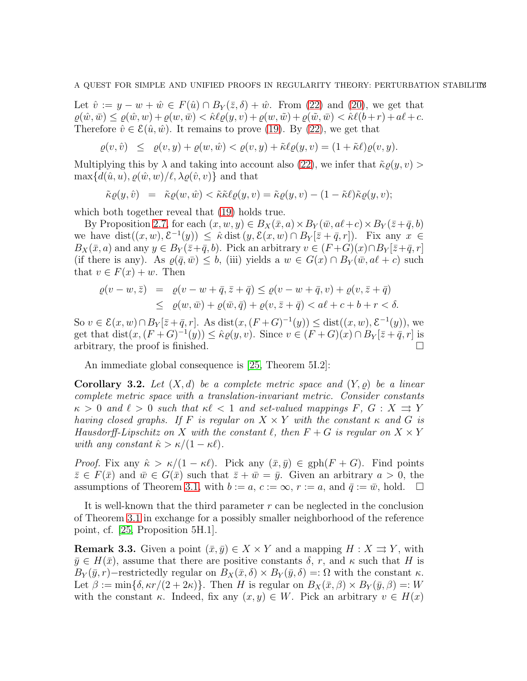Let  $\hat{v} := y - w + \hat{w} \in F(\hat{u}) \cap B_Y(\bar{z}, \delta) + \hat{w}$ . From [\(22\)](#page-11-3) and [\(20\)](#page-11-1), we get that  $\rho(\hat{w},\bar{w}) \leq \rho(\hat{w},w) + \rho(w,\bar{w}) < \hat{\kappa}\ell(\rho(y,v) + \rho(w,\tilde{w}) + \rho(\tilde{w},\bar{w}) < \hat{\kappa}\ell(b+r) + a\ell+c.$ Therefore  $\hat{v} \in \mathcal{E}(\hat{u}, \hat{w})$ . It remains to prove [\(19\)](#page-11-4). By [\(22\)](#page-11-3), we get that

$$
\varrho(v,\hat{v}) \leq \varrho(v,y) + \varrho(w,\hat{w}) < \varrho(v,y) + \tilde{\kappa}\ell\varrho(y,v) = (1 + \tilde{\kappa}\ell)\varrho(v,y).
$$

Multiplying this by  $\lambda$  and taking into account also [\(22\)](#page-11-3), we infer that  $\tilde{\kappa}\varrho(y, v)$  $\max\{d(\hat{u},u), \varrho(\hat{w},w)/\ell, \lambda \varrho(\hat{v},v)\}\$ and that

$$
\tilde{\kappa}\varrho(y,\hat{v})\;\;=\;\;\tilde{\kappa}\varrho(w,\hat{w})<\tilde{\kappa}\tilde{\kappa}\ell\varrho(y,v)=\tilde{\kappa}\varrho(y,v)-(1-\tilde{\kappa}\ell)\tilde{\kappa}\varrho(y,v);
$$

which both together reveal that  $(19)$  holds true.

By Proposition [2.7,](#page-7-3) for each  $(x, w, y) \in B_X(\bar{x}, a) \times B_Y(\bar{w}, a\ell + c) \times B_Y(\bar{z} + \bar{q}, b)$ we have  $dist((x, w), \mathcal{E}^{-1}(y)) \leq \hat{\kappa} \text{dist}(y, \mathcal{E}(x, w) \cap B_Y[\bar{z} + \bar{q}, r])$ . Fix any  $x \in$  $B_X(\bar{x}, a)$  and any  $y \in B_Y(\bar{z}+\bar{q}, b)$ . Pick an arbitrary  $v \in (F+G)(x) \cap B_Y[\bar{z}+\bar{q}, r]$ (if there is any). As  $\rho(\bar{q},\bar{w}) \leq b$ , (iii) yields a  $w \in G(x) \cap B_Y(\bar{w}, a\ell + c)$  such that  $v \in F(x) + w$ . Then

$$
\varrho(v-w, \bar{z}) = \varrho(v-w+\bar{q}, \bar{z}+\bar{q}) \leq \varrho(v-w+\bar{q}, v) + \varrho(v, \bar{z}+\bar{q})
$$
  
 
$$
\leq \varrho(w, \bar{w}) + \varrho(\bar{w}, \bar{q}) + \varrho(v, \bar{z}+\bar{q}) < a\ell + c + b + r < \delta.
$$

So  $v \in \mathcal{E}(x, w) \cap B_Y[\overline{z} + \overline{q}, r]$ . As  $dist(x, (F+G)^{-1}(y)) \leq dist((x, w), \mathcal{E}^{-1}(y))$ , we get that  $dist(x, (F+G)^{-1}(y)) \leq \hat{\kappa}\varrho(y, v)$ . Since  $v \in (F+G)(x) \cap B_Y[\bar{z}+\bar{q}, r]$  is arbitrary, the proof is finished.  $\square$ 

An immediate global consequence is [\[25,](#page-23-0) Theorem 5I.2]:

<span id="page-12-1"></span>**Corollary 3.2.** Let  $(X, d)$  be a complete metric space and  $(Y, \rho)$  be a linear complete metric space with a translation-invariant metric. Consider constants  $\kappa > 0$  and  $\ell > 0$  such that  $\kappa \ell < 1$  and set-valued mappings  $F, G: X \rightrightarrows Y$ having closed graphs. If F is regular on  $X \times Y$  with the constant  $\kappa$  and G is Hausdorff-Lipschitz on X with the constant  $\ell$ , then  $F + G$  is regular on  $X \times Y$ with any constant  $\hat{\kappa} > \kappa/(1 - \kappa \ell)$ .

*Proof.* Fix any  $\hat{\kappa} > \kappa/(1 - \kappa \ell)$ . Pick any  $(\bar{x}, \bar{y}) \in \text{gph}(F + G)$ . Find points  $\bar{z} \in F(\bar{x})$  and  $\bar{w} \in G(\bar{x})$  such that  $\bar{z} + \bar{w} = \bar{y}$ . Given an arbitrary  $a > 0$ , the assumptions of Theorem [3.1,](#page-10-1) with  $b := a, c := \infty, r := a$ , and  $\bar{q} := \bar{w}$ , hold.  $\square$ 

It is well-known that the third parameter r can be neglected in the conclusion of Theorem [3.1](#page-10-1) in exchange for a possibly smaller neighborhood of the reference point, cf. [\[25,](#page-23-0) Proposition 5H.1].

<span id="page-12-0"></span>**Remark 3.3.** Given a point  $(\bar{x}, \bar{y}) \in X \times Y$  and a mapping  $H : X \rightrightarrows Y$ , with  $\bar{y} \in H(\bar{x})$ , assume that there are positive constants  $\delta$ , r, and  $\kappa$  such that H is  $B_Y(\bar{y}, r)$ −restrictedly regular on  $B_X(\bar{x}, \delta) \times B_Y(\bar{y}, \delta) =: \Omega$  with the constant  $\kappa$ . Let  $\beta := \min\{\delta, \kappa r/(2 + 2\kappa)\}\.$  Then H is regular on  $B_X(\bar{x}, \beta) \times B_Y(\bar{y}, \beta) =: W$ with the constant  $\kappa$ . Indeed, fix any  $(x, y) \in W$ . Pick an arbitrary  $v \in H(x)$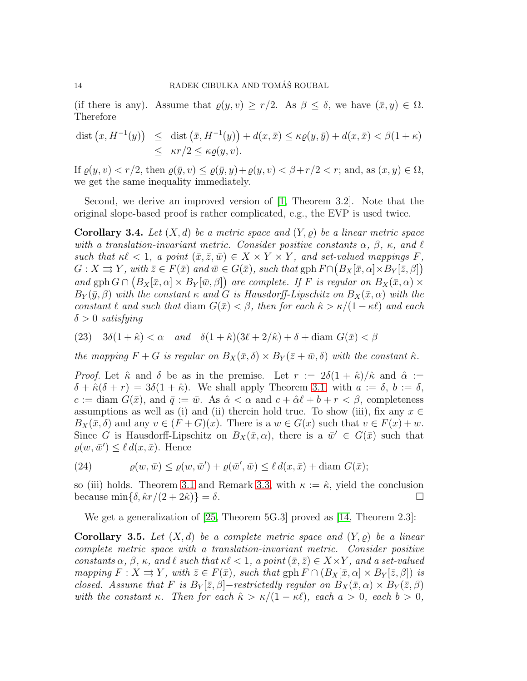(if there is any). Assume that  $\varrho(y, v) \ge r/2$ . As  $\beta \le \delta$ , we have  $(\bar{x}, y) \in \Omega$ . Therefore

$$
\begin{array}{rcl}\n\text{dist}\left(x, H^{-1}(y)\right) & \leq & \text{dist}\left(\bar{x}, H^{-1}(y)\right) + d(x, \bar{x}) \leq \kappa \varrho(y, \bar{y}) + d(x, \bar{x}) < \beta(1 + \kappa) \\
& \leq & \kappa r/2 \leq \kappa \varrho(y, v).\n\end{array}
$$

If  $\varrho(y, v) < r/2$ , then  $\varrho(\bar{y}, v) \leq \varrho(\bar{y}, y) + \varrho(y, v) < \beta + r/2 < r$ ; and, as  $(x, y) \in \Omega$ , we get the same inequality immediately.

Second, we derive an improved version of [\[1,](#page-22-3) Theorem 3.2]. Note that the original slope-based proof is rather complicated, e.g., the EVP is used twice.

<span id="page-13-0"></span>**Corollary 3.4.** Let  $(X, d)$  be a metric space and  $(Y, \varrho)$  be a linear metric space with a translation-invariant metric. Consider positive constants  $\alpha$ ,  $\beta$ ,  $\kappa$ , and  $\ell$ such that  $\kappa \ell < 1$ , a point  $(\bar{x}, \bar{z}, \bar{w}) \in X \times Y \times Y$ , and set-valued mappings F,  $G: X \rightrightarrows Y$ , with  $\overline{z} \in F(\overline{x})$  and  $\overline{w} \in G(\overline{x})$ , such that  $gph F \cap (B_X[\overline{x}, \alpha] \times B_Y[\overline{z}, \beta])$ and gph  $G \cap (B_X[\bar{x}, \alpha] \times B_Y[\bar{w}, \beta])$  are complete. If F is regular on  $B_X(\bar{x}, \alpha) \times$  $B_Y(\bar{y},\beta)$  with the constant  $\kappa$  and G is Hausdorff-Lipschitz on  $B_X(\bar{x},\alpha)$  with the constant  $\ell$  and such that diam  $G(\bar{x}) < \beta$ , then for each  $\hat{\kappa} > \kappa/(1 - \kappa \ell)$  and each  $\delta > 0$  satisfying

(23) 
$$
3\delta(1+\hat{\kappa}) < \alpha
$$
 and  $\delta(1+\hat{\kappa})(3\ell+2/\hat{\kappa}) + \delta + \text{diam } G(\bar{x}) < \beta$ 

the mapping  $F + G$  is regular on  $B_X(\bar{x}, \delta) \times B_Y(\bar{z} + \bar{w}, \delta)$  with the constant  $\hat{\kappa}$ .

*Proof.* Let  $\hat{\kappa}$  and  $\delta$  be as in the premise. Let  $r := 2\delta(1 + \hat{\kappa})/\hat{\kappa}$  and  $\hat{\alpha} :=$  $\delta + \hat{\kappa}(\delta + r) = 3\delta(1 + \hat{\kappa})$ . We shall apply Theorem [3.1,](#page-10-1) with  $a := \delta, b := \delta$ ,  $c := \text{diam } G(\bar{x})$ , and  $\bar{q} := \bar{w}$ . As  $\hat{\alpha} < \alpha$  and  $c + \hat{\alpha} \ell + b + r < \beta$ , completeness assumptions as well as (i) and (ii) therein hold true. To show (iii), fix any  $x \in$  $B_X(\bar{x}, \delta)$  and any  $v \in (F+G)(x)$ . There is a  $w \in G(x)$  such that  $v \in F(x)+w$ . Since G is Hausdorff-Lipschitz on  $B_X(\bar{x}, \alpha)$ , there is a  $\bar{w}' \in G(\bar{x})$  such that  $\varrho(w,\bar{w}') \leq \ell d(x,\bar{x})$ . Hence

<span id="page-13-1"></span>(24) 
$$
\varrho(w,\bar{w}) \leq \varrho(w,\bar{w}') + \varrho(\bar{w}',\bar{w}) \leq \ell d(x,\bar{x}) + \text{diam } G(\bar{x});
$$

so (iii) holds. Theorem [3.1](#page-10-1) and Remark [3.3,](#page-12-0) with  $\kappa := \hat{\kappa}$ , yield the conclusion because  $\min\{\delta, \hat{\kappa}r/(2+2\hat{\kappa})\} = \delta$ .

We get a generalization of [\[25,](#page-23-0) Theorem 5G.3] proved as [\[14,](#page-23-9) Theorem 2.3]:

**Corollary 3.5.** Let  $(X, d)$  be a complete metric space and  $(Y, \rho)$  be a linear complete metric space with a translation-invariant metric. Consider positive constants  $\alpha$ ,  $\beta$ ,  $\kappa$ , and  $\ell$  such that  $\kappa\ell < 1$ , a point  $(\bar{x}, \bar{z}) \in X \times Y$ , and a set-valued mapping  $F: X \rightrightarrows Y$ , with  $\bar{z} \in F(\bar{x})$ , such that  $gph F \cap (B_X[\bar{x}, \alpha] \times B_Y[\bar{z}, \beta])$  is closed. Assume that F is  $B_Y[\bar{z}, \beta]$ -restrictedly regular on  $B_X(\bar{x}, \alpha) \times B_Y(\bar{z}, \beta)$ with the constant  $\kappa$ . Then for each  $\hat{\kappa} > \kappa/(1 - \kappa \ell)$ , each  $a > 0$ , each  $b > 0$ ,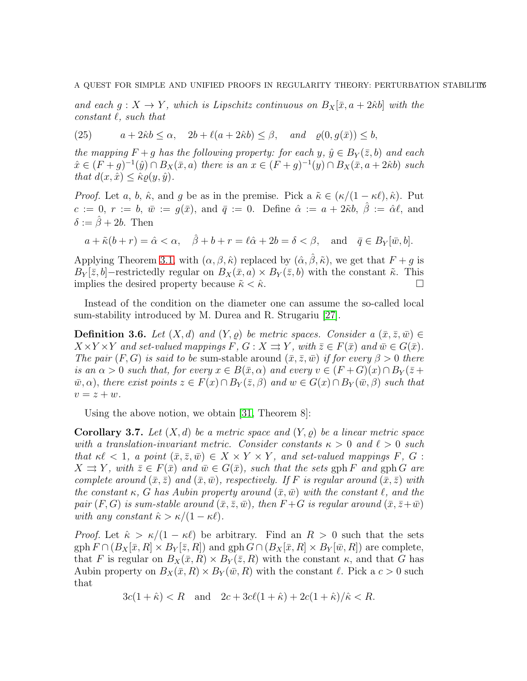and each  $g: X \to Y$ , which is Lipschitz continuous on  $B_X[\bar{x}, a + 2\hat{\kappa} b]$  with the constant  $\ell$ , such that

(25) 
$$
a + 2\hat{\kappa}b \le \alpha
$$
,  $2b + \ell(a + 2\hat{\kappa}b) \le \beta$ , and  $\varrho(0, g(\bar{x})) \le b$ ,

the mapping  $F + g$  has the following property: for each y,  $\hat{y} \in B_Y(\bar{z}, b)$  and each  $\hat{x} \in (F+g)^{-1}(\hat{y}) \cap B_{X}(\bar{x}, a)$  there is an  $x \in (F+g)^{-1}(y) \cap B_{X}(\bar{x}, a+2\hat{\kappa}b)$  such that  $d(x, \hat{x}) \leq \hat{\kappa} \rho(y, \hat{y})$ .

*Proof.* Let a, b,  $\hat{\kappa}$ , and g be as in the premise. Pick a  $\tilde{\kappa} \in (\kappa/(1 - \kappa \ell), \hat{\kappa})$ . Put  $c := 0, r := b, \overline{w} := q(\overline{x})$ , and  $\overline{q} := 0$ . Define  $\hat{\alpha} := a + 2\tilde{\kappa}b, \hat{\beta} := \hat{\alpha}\ell$ , and  $\delta := \hat{\beta} + 2b$ . Then

$$
a + \tilde{\kappa}(b+r) = \hat{\alpha} < \alpha, \quad \hat{\beta} + b + r = \ell \hat{\alpha} + 2b = \delta < \beta, \text{ and } \bar{q} \in B_Y[\bar{w}, b].
$$

Applying Theorem [3.1,](#page-10-1) with  $(\alpha, \beta, \hat{\kappa})$  replaced by  $(\hat{\alpha}, \hat{\beta}, \tilde{\kappa})$ , we get that  $F + q$  is  $B_Y[\bar{z}, b]$ –restrictedly regular on  $B_X(\bar{x}, a) \times B_Y(\bar{z}, b)$  with the constant  $\tilde{\kappa}$ . This implies the desired property because  $\tilde{\kappa} < \hat{\kappa}$ .

Instead of the condition on the diameter one can assume the so-called local sum-stability introduced by M. Durea and R. Strugariu [\[27\]](#page-23-14).

**Definition 3.6.** Let  $(X, d)$  and  $(Y, \rho)$  be metric spaces. Consider a  $(\bar{x}, \bar{z}, \bar{w}) \in$  $X \times Y \times Y$  and set-valued mappings F,  $G : X \rightrightarrows Y$ , with  $\overline{z} \in F(\overline{x})$  and  $\overline{w} \in G(\overline{x})$ . The pair  $(F, G)$  is said to be sum-stable around  $(\bar{x}, \bar{z}, \bar{w})$  if for every  $\beta > 0$  there is an  $\alpha > 0$  such that, for every  $x \in B(\bar{x}, \alpha)$  and every  $v \in (F+G)(x) \cap B_Y(\bar{z} +$  $\bar{w}, \alpha$ , there exist points  $z \in F(x) \cap B_Y(\bar{z}, \beta)$  and  $w \in G(x) \cap B_Y(\bar{w}, \beta)$  such that  $v = z + w$ .

Using the above notion, we obtain [\[31,](#page-23-5) Theorem 8]:

<span id="page-14-0"></span>**Corollary 3.7.** Let  $(X, d)$  be a metric space and  $(Y, \rho)$  be a linear metric space with a translation-invariant metric. Consider constants  $\kappa > 0$  and  $\ell > 0$  such that  $\kappa \ell < 1$ , a point  $(\bar{x}, \bar{z}, \bar{w}) \in X \times Y \times Y$ , and set-valued mappings F, G :  $X \rightrightarrows Y$ , with  $\bar{z} \in F(\bar{x})$  and  $\bar{w} \in G(\bar{x})$ , such that the sets gph F and gph G are complete around  $(\bar{x}, \bar{z})$  and  $(\bar{x}, \bar{w})$ , respectively. If F is regular around  $(\bar{x}, \bar{z})$  with the constant  $\kappa$ , G has Aubin property around  $(\bar{x},\bar{w})$  with the constant  $\ell$ , and the pair  $(F, G)$  is sum-stable around  $(\bar{x}, \bar{z}, \bar{w})$ , then  $F + G$  is regular around  $(\bar{x}, \bar{z} + \bar{w})$ with any constant  $\hat{\kappa} > \kappa/(1 - \kappa \ell)$ .

*Proof.* Let  $\hat{\kappa} > \kappa/(1 - \kappa \ell)$  be arbitrary. Find an  $R > 0$  such that the sets  $gph F \cap (B_X[\bar{x}, R] \times B_Y[\bar{z}, R])$  and  $gph G \cap (B_X[\bar{x}, R] \times B_Y[\bar{w}, R])$  are complete, that F is regular on  $B_X(\bar{x}, R) \times B_Y(\bar{z}, R)$  with the constant  $\kappa$ , and that G has Aubin property on  $B_X(\bar{x}, R) \times B_Y(\bar{w}, R)$  with the constant  $\ell$ . Pick a  $c > 0$  such that

$$
3c(1+\hat{\kappa}) < R
$$
 and  $2c + 3c\ell(1+\hat{\kappa}) + 2c(1+\hat{\kappa})/\hat{\kappa} < R$ .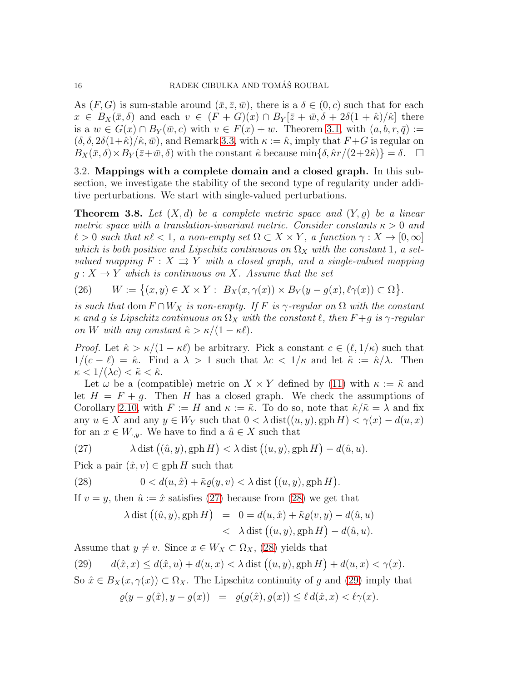As  $(F, G)$  is sum-stable around  $(\bar{x}, \bar{z}, \bar{w})$ , there is a  $\delta \in (0, c)$  such that for each  $x \in B_X(\bar{x}, \delta)$  and each  $v \in (F+G)(x) \cap B_Y[\bar{z}+\bar{w}, \delta+2\delta(1+\hat{\kappa})/\hat{\kappa}]$  there is a  $w \in G(x) \cap B_Y(\bar{w}, c)$  with  $v \in F(x) + w$ . Theorem [3.1,](#page-10-1) with  $(a, b, r, \bar{q}) :=$  $(\delta, \delta, 2\delta(1+\hat{\kappa})/\hat{\kappa}, \bar{w})$ , and Remark [3.3,](#page-12-0) with  $\kappa := \hat{\kappa}$ , imply that  $F + G$  is regular on  $B_X(\bar{x}, \delta) \times B_Y(\bar{z}+\bar{w}, \delta)$  with the constant  $\hat{\kappa}$  because min{ $\delta, \hat{\kappa}r/(2+2\hat{\kappa})$ } =  $\delta$ .  $\Box$ 

3.2. Mappings with a complete domain and a closed graph. In this subsection, we investigate the stability of the second type of regularity under additive perturbations. We start with single-valued perturbations.

<span id="page-15-4"></span>**Theorem 3.8.** Let  $(X,d)$  be a complete metric space and  $(Y, \rho)$  be a linear metric space with a translation-invariant metric. Consider constants  $\kappa > 0$  and  $\ell > 0$  such that  $\kappa \ell < 1$ , a non-empty set  $\Omega \subset X \times Y$ , a function  $\gamma : X \to [0, \infty]$ which is both positive and Lipschitz continuous on  $\Omega_X$  with the constant 1, a setvalued mapping  $F : X \rightrightarrows Y$  with a closed graph, and a single-valued mapping  $g: X \to Y$  which is continuous on X. Assume that the set

<span id="page-15-3"></span>(26) 
$$
W := \{(x, y) \in X \times Y : B_X(x, \gamma(x)) \times B_Y(y - g(x), \ell \gamma(x)) \subset \Omega\}.
$$

is such that dom  $F \cap W_X$  is non-empty. If F is  $\gamma$ -regular on  $\Omega$  with the constant  $\kappa$  and g is Lipschitz continuous on  $\Omega_X$  with the constant  $\ell$ , then  $F+g$  is  $\gamma$ -regular on W with any constant  $\hat{\kappa} > \kappa/(1 - \kappa \ell)$ .

*Proof.* Let  $\hat{\kappa} > \kappa/(1 - \kappa \ell)$  be arbitrary. Pick a constant  $c \in (\ell, 1/\kappa)$  such that  $1/(c - \ell) = \hat{\kappa}$ . Find a  $\lambda > 1$  such that  $\lambda c < 1/\kappa$  and let  $\tilde{\kappa} := \hat{\kappa}/\lambda$ . Then  $\kappa < 1/(\lambda c) < \tilde{\kappa} < \hat{\kappa}$ .

Let  $\omega$  be a (compatible) metric on  $X \times Y$  defined by [\(11\)](#page-8-0) with  $\kappa := \tilde{\kappa}$  and let  $H = F + g$ . Then H has a closed graph. We check the assumptions of Corollary [2.10,](#page-9-3) with  $F := H$  and  $\kappa := \tilde{\kappa}$ . To do so, note that  $\hat{\kappa}/\tilde{\kappa} = \lambda$  and fix any  $u \in X$  and any  $y \in W_Y$  such that  $0 < \lambda \text{ dist}((u, y), \text{gph } H) < \gamma(x) - d(u, x)$ for an  $x \in W_{y}$ . We have to find a  $\hat{u} \in X$  such that

<span id="page-15-0"></span>(27) 
$$
\lambda \text{ dist } ((\hat{u}, y), \text{gph } H) < \lambda \text{ dist } ((u, y), \text{gph } H) - d(\hat{u}, u).
$$

Pick a pair  $(\hat{x}, v) \in \text{gph } H$  such that

(28) 
$$
0 < d(u, \hat{x}) + \tilde{\kappa}\varrho(y, v) < \lambda \text{ dist } ((u, y), \text{gph } H).
$$

If  $v = y$ , then  $\hat{u} := \hat{x}$  satisfies [\(27\)](#page-15-0) because from [\(28\)](#page-15-1) we get that

<span id="page-15-1"></span>
$$
\lambda \operatorname{dist}((\hat{u}, y), \operatorname{gph} H) = 0 = d(u, \hat{x}) + \tilde{\kappa}\varrho(v, y) - d(\hat{u}, u)
$$
  
< 
$$
< \lambda \operatorname{dist} ((u, y), \operatorname{gph} H) - d(\hat{u}, u).
$$

Assume that  $y \neq v$ . Since  $x \in W_X \subset \Omega_X$ , [\(28\)](#page-15-1) yields that

<span id="page-15-2"></span>(29) 
$$
d(\hat{x}, x) \leq d(\hat{x}, u) + d(u, x) < \lambda \text{ dist } ((u, y), \text{gph } H) + d(u, x) < \gamma(x).
$$
 So  $\hat{x} \in B_X(x, \gamma(x)) \subset \Omega_X$ . The Lipschitz continuity of  $g$  and (29) imply that  $\varrho(y - g(\hat{x}), y - g(x)) = \varrho(g(\hat{x}), g(x)) \leq \ell \, d(\hat{x}, x) < \ell \gamma(x).$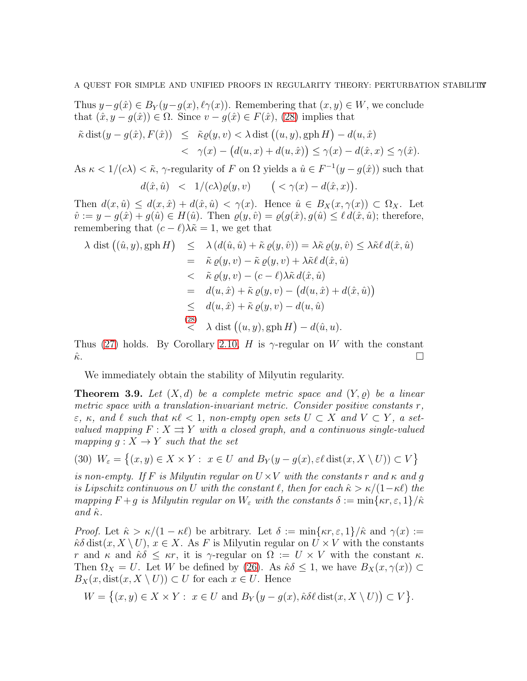Thus  $y-g(\hat{x}) \in B_Y(y-g(x), \ell \gamma(x))$ . Remembering that  $(x, y) \in W$ , we conclude that  $(\hat{x}, y - g(\hat{x})) \in \Omega$ . Since  $v - g(\hat{x}) \in F(\hat{x})$ , [\(28\)](#page-15-1) implies that

$$
\tilde{\kappa} \operatorname{dist}(y - g(\hat{x}), F(\hat{x})) \leq \tilde{\kappa}\varrho(y, v) < \lambda \operatorname{dist}((u, y), \operatorname{gph} H) - d(u, \hat{x}) \\
&< \gamma(x) - (d(u, x) + d(u, \hat{x})) \leq \gamma(x) - d(\hat{x}, x) \leq \gamma(\hat{x}).
$$

As  $\kappa < 1/(c\lambda) < \tilde{\kappa}$ ,  $\gamma$ -regularity of F on  $\Omega$  yields a  $\hat{u} \in F^{-1}(y - g(\hat{x}))$  such that

$$
d(\hat{x}, \hat{u}) \quad < \quad 1/(c\lambda)\varrho(y, v) \qquad \big( < \gamma(x) - d(\hat{x}, x)\big).
$$

Then  $d(x, \hat{u}) \leq d(x, \hat{x}) + d(\hat{x}, \hat{u}) < \gamma(x)$ . Hence  $\hat{u} \in B_X(x, \gamma(x)) \subset \Omega_X$ . Let  $\hat{v} := y - g(\hat{x}) + g(\hat{u}) \in H(\hat{u})$ . Then  $\varrho(y, \hat{v}) = \varrho(g(\hat{x}), g(\hat{u}) \leq \ell d(\hat{x}, \hat{u})$ ; therefore, remembering that  $(c - \ell)\lambda \tilde{\kappa} = 1$ , we get that

$$
\lambda \text{ dist} ((\hat{u}, y), \text{gph } H) \leq \lambda (d(\hat{u}, \hat{u}) + \tilde{\kappa} \varrho(y, \hat{v})) = \lambda \tilde{\kappa} \varrho(y, \hat{v}) \leq \lambda \tilde{\kappa} \ell d(\hat{x}, \hat{u})
$$
  
\n
$$
= \tilde{\kappa} \varrho(y, v) - \tilde{\kappa} \varrho(y, v) + \lambda \tilde{\kappa} \ell d(\hat{x}, \hat{u})
$$
  
\n
$$
< \tilde{\kappa} \varrho(y, v) - (c - \ell) \lambda \tilde{\kappa} d(\hat{x}, \hat{u})
$$
  
\n
$$
= d(u, \hat{x}) + \tilde{\kappa} \varrho(y, v) - (d(u, \hat{x}) + d(\hat{x}, \hat{u}))
$$
  
\n
$$
\leq d(u, \hat{x}) + \tilde{\kappa} \varrho(y, v) - d(u, \hat{u})
$$
  
\n(28)  
\n
$$
\lambda \text{ dist} ((u, y), \text{gph } H) - d(\hat{u}, u).
$$

Thus [\(27\)](#page-15-0) holds. By Corollary [2.10,](#page-9-3) H is  $\gamma$ -regular on W with the constant  $\hat{\kappa}$ .

We immediately obtain the stability of Milyutin regularity.

**Theorem 3.9.** Let  $(X,d)$  be a complete metric space and  $(Y,\rho)$  be a linear metric space with a translation-invariant metric. Consider positive constants r,  $\varepsilon$ ,  $\kappa$ , and  $\ell$  such that  $\kappa\ell < 1$ , non-empty open sets  $U \subset X$  and  $V \subset Y$ , a setvalued mapping  $F : X \rightrightarrows Y$  with a closed graph, and a continuous single-valued mapping  $g: X \to Y$  such that the set

(30)  $W_{\varepsilon} = \{(x, y) \in X \times Y : x \in U \text{ and } B_Y(y - g(x), \varepsilon \ell \text{ dist}(x, X \setminus U)) \subset V\}$ 

is non-empty. If F is Milyutin regular on  $U \times V$  with the constants r and  $\kappa$  and g is Lipschitz continuous on U with the constant  $\ell$ , then for each  $\hat{\kappa} > \kappa/(1-\kappa\ell)$  the mapping  $F + g$  is Milyutin regular on  $W_{\varepsilon}$  with the constants  $\delta := \min\{\kappa r, \varepsilon, 1\}/\hat{\kappa}$ and  $\hat{\kappa}$ .

*Proof.* Let  $\hat{\kappa} > \kappa/(1 - \kappa \ell)$  be arbitrary. Let  $\delta := \min\{\kappa r, \varepsilon, 1\}/\hat{\kappa}$  and  $\gamma(x) :=$  $\hat{\kappa}\delta \text{dist}(x, X \setminus U), x \in X$ . As F is Milyutin regular on  $U \times V$  with the constants r and  $\kappa$  and  $\hat{\kappa}\delta \leq \kappa r$ , it is  $\gamma$ -regular on  $\Omega := U \times V$  with the constant  $\kappa$ . Then  $\Omega_X = U$ . Let W be defined by [\(26\)](#page-15-3). As  $\hat{\kappa}\delta \leq 1$ , we have  $B_X(x, \gamma(x)) \subset$  $B_X(x, dist(x, X \setminus U)) \subset U$  for each  $x \in U$ . Hence

$$
W = \{(x, y) \in X \times Y : x \in U \text{ and } B_Y(y - g(x), \hat{\kappa} \delta \ell \text{ dist}(x, X \setminus U)) \subset V\}.
$$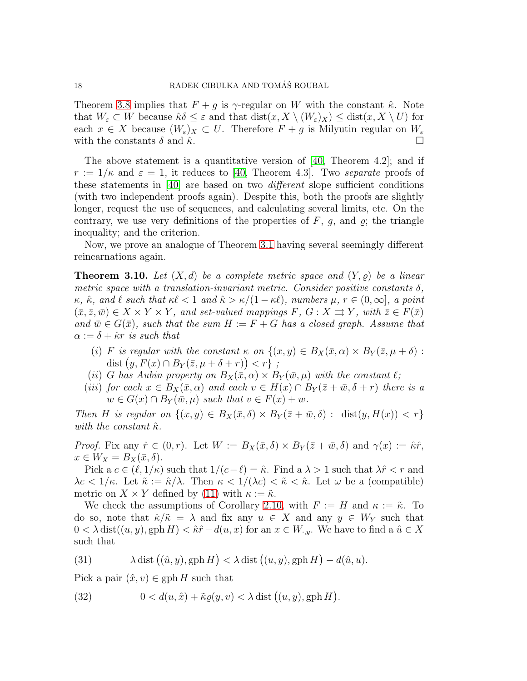Theorem [3.8](#page-15-4) implies that  $F + g$  is  $\gamma$ -regular on W with the constant  $\hat{\kappa}$ . Note that  $W_{\varepsilon} \subset W$  because  $\hat{\kappa} \delta \leq \varepsilon$  and that  $dist(x, X \setminus (W_{\varepsilon})_X) \leq dist(x, X \setminus U)$  for each  $x \in X$  because  $(W_{\varepsilon})_X \subset U$ . Therefore  $F + g$  is Milyutin regular on  $W_{\varepsilon}$ with the constants  $\delta$  and  $\hat{\kappa}$ .

The above statement is a quantitative version of  $[40,$  Theorem 4.2]; and if  $r := 1/\kappa$  and  $\varepsilon = 1$ , it reduces to [\[40,](#page-24-6) Theorem 4.3]. Two separate proofs of these statements in [\[40\]](#page-24-6) are based on two different slope sufficient conditions (with two independent proofs again). Despite this, both the proofs are slightly longer, request the use of sequences, and calculating several limits, etc. On the contrary, we use very definitions of the properties of  $F, g$ , and  $g$ ; the triangle inequality; and the criterion.

Now, we prove an analogue of Theorem [3.1](#page-10-1) having several seemingly different reincarnations again.

<span id="page-17-2"></span>**Theorem 3.10.** Let  $(X, d)$  be a complete metric space and  $(Y, \rho)$  be a linear metric space with a translation-invariant metric. Consider positive constants  $\delta$ ,  $\kappa, \hat{\kappa}, \text{ and } \ell \text{ such that } \kappa\ell < 1 \text{ and } \hat{\kappa} > \kappa/(1-\kappa\ell), \text{ numbers } \mu, r \in (0,\infty], \text{ a point}$  $(\bar{x}, \bar{z}, \bar{w}) \in X \times Y \times Y$ , and set-valued mappings F,  $G: X \rightrightarrows Y$ , with  $\bar{z} \in F(\bar{x})$ and  $\bar{w} \in G(\bar{x})$ , such that the sum  $H := F + G$  has a closed graph. Assume that  $\alpha := \delta + \hat{\kappa}r$  is such that

- (i) F is regular with the constant  $\kappa$  on  $\{(x, y) \in B_X(\bar{x}, \alpha) \times B_Y(\bar{z}, \mu + \delta)$ : dist  $(y, F(x) \cap B_Y(\overline{z}, \mu + \delta + r)) < r$  ;
- (ii) G has Aubin property on  $B_X(\bar{x}, \alpha) \times B_Y(\bar{w}, \mu)$  with the constant  $\ell$ ;
- (iii) for each  $x \in B_X(\bar{x}, \alpha)$  and each  $v \in H(x) \cap B_Y(\bar{z} + \bar{w}, \delta + r)$  there is a  $w \in G(x) \cap B_Y(\bar{w}, \mu)$  such that  $v \in F(x) + w$ .

Then H is regular on  $\{(x, y) \in B_X(\bar{x}, \delta) \times B_Y(\bar{z} + \bar{w}, \delta) : \text{dist}(y, H(x)) < r\}$ with the constant  $\hat{\kappa}$ .

*Proof.* Fix any  $\hat{r} \in (0, r)$ . Let  $W := B_X(\bar{x}, \delta) \times B_Y(\bar{z} + \bar{w}, \delta)$  and  $\gamma(x) := \hat{\kappa} \hat{r}$ ,  $x \in W_X = B_X(\bar{x}, \delta).$ 

Pick a  $c \in (\ell, 1/\kappa)$  such that  $1/(c-\ell) = \hat{\kappa}$ . Find a  $\lambda > 1$  such that  $\lambda \hat{r} < r$  and  $\lambda c < 1/\kappa$ . Let  $\tilde{\kappa} := \hat{\kappa}/\lambda$ . Then  $\kappa < 1/(\lambda c) < \tilde{\kappa} < \hat{\kappa}$ . Let  $\omega$  be a (compatible) metric on  $X \times Y$  defined by [\(11\)](#page-8-0) with  $\kappa := \tilde{\kappa}$ .

We check the assumptions of Corollary [2.10,](#page-9-3) with  $F := H$  and  $\kappa := \tilde{\kappa}$ . To do so, note that  $\hat{\kappa}/\tilde{\kappa} = \lambda$  and fix any  $u \in X$  and any  $y \in W_Y$  such that  $0 < \lambda \text{ dist}((u, y), \text{gph } H) < \hat{\kappa} \hat{r} - d(u, x)$  for an  $x \in W_{\cdot, y}$ . We have to find a  $\hat{u} \in X$ such that

<span id="page-17-0"></span>(31) 
$$
\lambda \operatorname{dist}((\hat{u}, y), \operatorname{gph} H) < \lambda \operatorname{dist}((u, y), \operatorname{gph} H) - d(\hat{u}, u).
$$

Pick a pair  $(\hat{x}, v) \in \text{gph } H$  such that

<span id="page-17-1"></span>(32) 
$$
0 < d(u, \hat{x}) + \tilde{\kappa}\varrho(y, v) < \lambda \text{ dist } ((u, y), \text{gph } H).
$$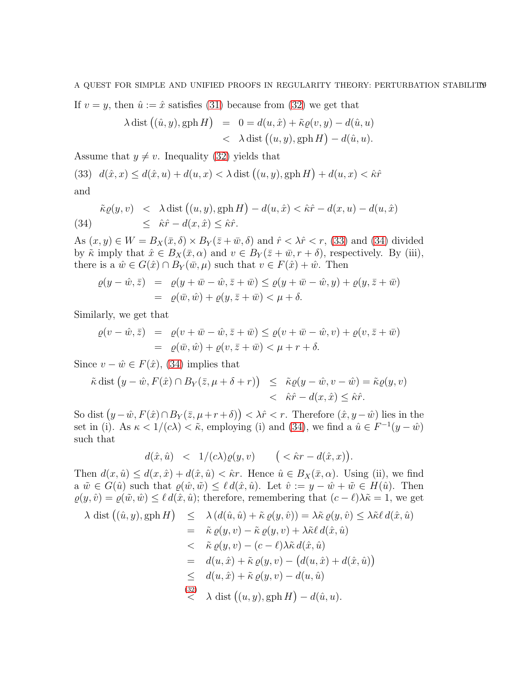A QUEST FOR SIMPLE AND UNIFIED PROOFS IN REGULARITY THEORY: PERTURBATION STABILITY

If  $v = y$ , then  $\hat{u} := \hat{x}$  satisfies [\(31\)](#page-17-0) because from [\(32\)](#page-17-1) we get that

$$
\lambda \operatorname{dist}((\hat{u}, y), \operatorname{gph} H) = 0 = d(u, \hat{x}) + \tilde{\kappa}\varrho(v, y) - d(\hat{u}, u)
$$
  
< 
$$
< \lambda \operatorname{dist} ((u, y), \operatorname{gph} H) - d(\hat{u}, u).
$$

Assume that  $y \neq v$ . Inequality [\(32\)](#page-17-1) yields that

<span id="page-18-0"></span>(33) 
$$
d(\hat{x}, x) \le d(\hat{x}, u) + d(u, x) < \lambda \text{ dist } ((u, y), \text{gph } H) + d(u, x) < \hat{\kappa} \hat{r}
$$
 and

<span id="page-18-1"></span>
$$
\tilde{\kappa}\varrho(y,v) < \lambda \operatorname{dist}\left((u,y), \operatorname{gph} H\right) - d(u,\hat{x}) < \hat{\kappa}\hat{r} - d(x,u) - d(u,\hat{x})
$$
\n
$$
\leq \hat{\kappa}\hat{r} - d(x,\hat{x}) \leq \hat{\kappa}\hat{r}.
$$

As  $(x, y) \in W = B_X(\bar{x}, \delta) \times B_Y(\bar{z} + \bar{w}, \delta)$  and  $\hat{r} < \lambda \hat{r} < r$ , [\(33\)](#page-18-0) and [\(34\)](#page-18-1) divided by  $\tilde{\kappa}$  imply that  $\hat{x} \in B_X(\bar{x}, \alpha)$  and  $v \in B_Y(\bar{z} + \bar{w}, r + \delta)$ , respectively. By (iii), there is a  $\hat{w} \in G(\hat{x}) \cap B_Y(\bar{w}, \mu)$  such that  $v \in F(\hat{x}) + \hat{w}$ . Then

$$
\varrho(y - \hat{w}, \bar{z}) = \varrho(y + \bar{w} - \hat{w}, \bar{z} + \bar{w}) \le \varrho(y + \bar{w} - \hat{w}, y) + \varrho(y, \bar{z} + \bar{w})
$$
  
=  $\varrho(\bar{w}, \hat{w}) + \varrho(y, \bar{z} + \bar{w}) < \mu + \delta$ .

Similarly, we get that

$$
\varrho(v - \hat{w}, \bar{z}) = \varrho(v + \bar{w} - \hat{w}, \bar{z} + \bar{w}) \leq \varrho(v + \bar{w} - \hat{w}, v) + \varrho(v, \bar{z} + \bar{w})
$$
  
=  $\varrho(\bar{w}, \hat{w}) + \varrho(v, \bar{z} + \bar{w}) < \mu + r + \delta.$ 

Since  $v - \hat{w} \in F(\hat{x})$ , [\(34\)](#page-18-1) implies that

$$
\tilde{\kappa} \operatorname{dist} (y - \hat{w}, F(\hat{x}) \cap B_Y(\bar{z}, \mu + \delta + r)) \leq \tilde{\kappa}\varrho(y - \hat{w}, v - \hat{w}) = \tilde{\kappa}\varrho(y, v) \n< \hat{\kappa}\hat{r} - d(x, \hat{x}) \leq \hat{\kappa}\hat{r}.
$$

So dist  $(y - \hat{w}, F(\hat{x}) \cap B_Y(\bar{z}, \mu + r + \delta)) < \lambda \hat{r} < r$ . Therefore  $(\hat{x}, y - \hat{w})$  lies in the set in (i). As  $\kappa < 1/(c\lambda) < \tilde{\kappa}$ , employing (i) and [\(34\)](#page-18-1), we find a  $\hat{u} \in F^{-1}(y - \hat{w})$ such that

$$
d(\hat{x}, \hat{u}) \quad < \quad 1/(c\lambda) \varrho(y,v) \qquad \big( < \hat{\kappa} r - d(\hat{x},x) \big).
$$

Then  $d(x, \hat{u}) \leq d(x, \hat{x}) + d(\hat{x}, \hat{u}) < \hat{\kappa}r$ . Hence  $\hat{u} \in B_X(\bar{x}, \alpha)$ . Using (ii), we find a  $\tilde{w} \in G(\hat{u})$  such that  $\varrho(\hat{w}, \tilde{w}) \leq \ell d(\hat{x}, \hat{u})$ . Let  $\hat{v} := y - \hat{w} + \tilde{w} \in H(\hat{u})$ . Then  $\varrho(y, \hat{v}) = \varrho(\tilde{w}, \hat{w}) \leq \ell d(\hat{x}, \hat{u});$  therefore, remembering that  $(c - \ell)\lambda \tilde{\kappa} = 1$ , we get

$$
\lambda \text{ dist } ((\hat{u}, y), \text{gph } H) \leq \lambda (d(\hat{u}, \hat{u}) + \tilde{\kappa} \varrho(y, \hat{v})) = \lambda \tilde{\kappa} \varrho(y, \hat{v}) \leq \lambda \tilde{\kappa} \ell d(\hat{x}, \hat{u})
$$
  
\n
$$
= \tilde{\kappa} \varrho(y, v) - \tilde{\kappa} \varrho(y, v) + \lambda \tilde{\kappa} \ell d(\hat{x}, \hat{u})
$$
  
\n
$$
< \tilde{\kappa} \varrho(y, v) - (c - \ell) \lambda \tilde{\kappa} d(\hat{x}, \hat{u})
$$
  
\n
$$
= d(u, \hat{x}) + \tilde{\kappa} \varrho(y, v) - (d(u, \hat{x}) + d(\hat{x}, \hat{u}))
$$
  
\n
$$
\leq d(u, \hat{x}) + \tilde{\kappa} \varrho(y, v) - d(u, \hat{u})
$$
  
\n
$$
\stackrel{(32)}{\leq} \lambda \text{ dist } ((u, y), \text{gph } H) - d(\hat{u}, u).
$$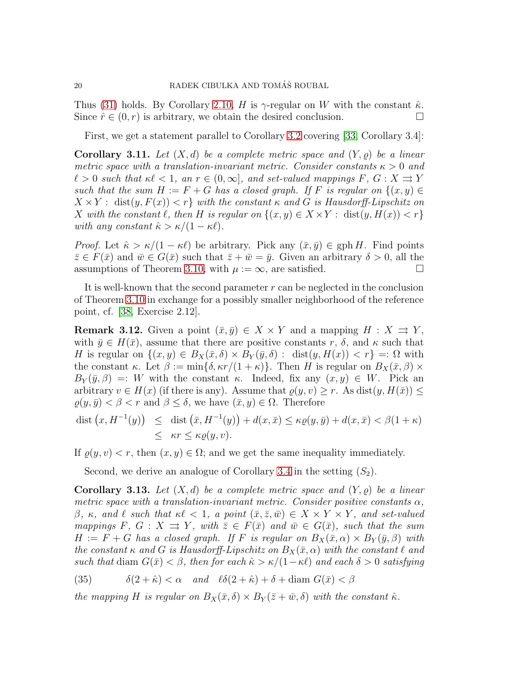Thus [\(31\)](#page-17-0) holds. By Corollary [2.10,](#page-9-3) H is  $\gamma$ -regular on W with the constant  $\hat{\kappa}$ . Since  $\hat{r} \in (0, r)$  is arbitrary, we obtain the desired conclusion.

First, we get a statement parallel to Corollary [3.2](#page-12-1) covering [\[33,](#page-23-3) Corollary 3.4]:

**Corollary 3.11.** Let  $(X, d)$  be a complete metric space and  $(Y, \rho)$  be a linear metric space with a translation-invariant metric. Consider constants  $\kappa > 0$  and  $\ell > 0$  such that  $\kappa \ell < 1$ , an  $r \in (0, \infty]$ , and set-valued mappings  $F, G: X \rightrightarrows Y$ such that the sum  $H := F + G$  has a closed graph. If F is regular on  $\{(x, y) \in$  $X \times Y$ : dist $(y, F(x)) < r$  with the constant  $\kappa$  and G is Hausdorff-Lipschitz on X with the constant  $\ell$ , then H is regular on  $\{(x, y) \in X \times Y : \text{dist}(y, H(x)) < r\}$ with any constant  $\hat{\kappa} > \kappa/(1 - \kappa \ell)$ .

*Proof.* Let  $\hat{\kappa} > \kappa/(1 - \kappa \ell)$  be arbitrary. Pick any  $(\bar{x}, \bar{y}) \in \text{gph } H$ . Find points  $\bar{z} \in F(\bar{x})$  and  $\bar{w} \in G(\bar{x})$  such that  $\bar{z} + \bar{w} = \bar{y}$ . Given an arbitrary  $\delta > 0$ , all the assumptions of Theorem [3.10,](#page-17-2) with  $\mu := \infty$ , are satisfied.

It is well-known that the second parameter  $r$  can be neglected in the conclusion of Theorem [3.10](#page-17-2) in exchange for a possibly smaller neighborhood of the reference point, cf. [\[38,](#page-24-0) Exercise 2.12].

<span id="page-19-0"></span>**Remark 3.12.** Given a point  $(\bar{x}, \bar{y}) \in X \times Y$  and a mapping  $H : X \rightrightarrows Y$ , with  $\bar{y} \in H(\bar{x})$ , assume that there are positive constants r,  $\delta$ , and  $\kappa$  such that H is regular on  $\{(x,y)\in B_X(\bar{x},\delta)\times B_Y(\bar{y},\delta): \text{dist}(y,H(x)) < r\} =: \Omega$  with the constant κ. Let  $\beta := \min\{\delta, \kappa r/(1+\kappa)\}\.$  Then H is regular on  $B_X(\bar{x}, \beta) \times$  $B_Y(\bar{y},\beta) =: W$  with the constant  $\kappa$ . Indeed, fix any  $(x, y) \in W$ . Pick an arbitrary  $v \in H(x)$  (if there is any). Assume that  $\varrho(y, v) \geq r$ . As dist $(y, H(\bar{x})) \leq$  $\rho(y, \bar{y}) < \beta < r$  and  $\beta \leq \delta$ , we have  $(\bar{x}, y) \in \Omega$ . Therefore

$$
\begin{array}{rcl}\n\text{dist}\left(x, H^{-1}(y)\right) & \leq & \text{dist}\left(\bar{x}, H^{-1}(y)\right) + d(x, \bar{x}) \leq \kappa \varrho(y, \bar{y}) + d(x, \bar{x}) < \beta(1 + \kappa) \\
& \leq & \kappa r \leq \kappa \varrho(y, v).\n\end{array}
$$

If  $\rho(y, v) < r$ , then  $(x, y) \in \Omega$ ; and we get the same inequality immediately.

Second, we derive an analogue of Corollary [3.4](#page-13-0) in the setting  $(S_2)$ .

<span id="page-19-1"></span>**Corollary 3.13.** Let  $(X, d)$  be a complete metric space and  $(Y, \rho)$  be a linear metric space with a translation-invariant metric. Consider positive constants  $\alpha$ , β, κ, and  $\ell$  such that  $\kappa \ell < 1$ , a point  $(\bar{x}, \bar{z}, \bar{w}) \in X \times Y \times Y$ , and set-valued mappings F,  $G: X \rightrightarrows Y$ , with  $\overline{z} \in F(\overline{x})$  and  $\overline{w} \in G(\overline{x})$ , such that the sum  $H := F + G$  has a closed graph. If F is regular on  $B_X(\bar{x}, \alpha) \times B_Y(\bar{y}, \beta)$  with the constant  $\kappa$  and G is Hausdorff-Lipschitz on  $B_X(\bar{x}, \alpha)$  with the constant  $\ell$  and such that diam  $G(\bar{x}) < \beta$ , then for each  $\hat{\kappa} > \kappa/(1-\kappa\ell)$  and each  $\delta > 0$  satisfying

(35) 
$$
\delta(2+\hat{\kappa}) < \alpha \quad \text{and} \quad \ell\delta(2+\hat{\kappa}) + \delta + \text{diam } G(\bar{x}) < \beta
$$

the mapping H is regular on  $B_X(\bar{x}, \delta) \times B_Y(\bar{z} + \bar{w}, \delta)$  with the constant  $\hat{\kappa}$ .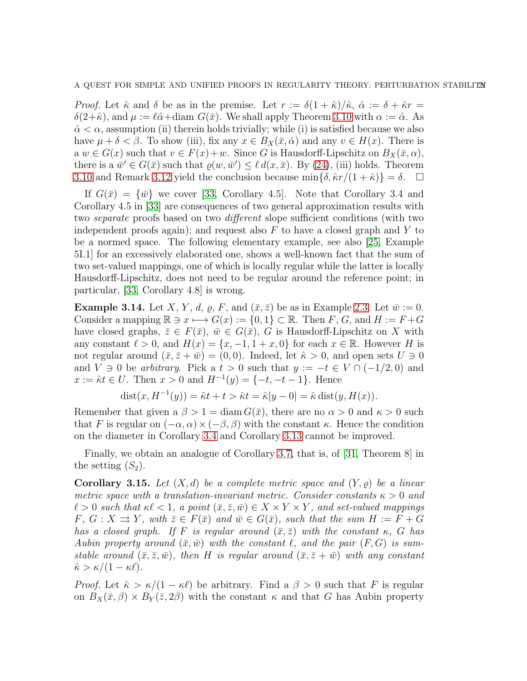*Proof.* Let  $\hat{\kappa}$  and  $\delta$  be as in the premise. Let  $r := \delta(1 + \hat{\kappa})/\hat{\kappa}$ ,  $\hat{\alpha} := \delta + \hat{\kappa}r =$  $\delta(2+\hat{\kappa})$ , and  $\mu := \ell \hat{\alpha} + \text{diam } G(\bar{x})$ . We shall apply Theorem [3.10](#page-17-2) with  $\alpha := \hat{\alpha}$ . As  $\hat{\alpha} < \alpha$ , assumption (ii) therein holds trivially; while (i) is satisfied because we also have  $\mu + \delta < \beta$ . To show (iii), fix any  $x \in B_X(\bar{x}, \hat{\alpha})$  and any  $v \in H(x)$ . There is a  $w \in G(x)$  such that  $v \in F(x)+w$ . Since G is Hausdorff-Lipschitz on  $B_X(\bar{x}, \alpha)$ , there is a  $\bar{w}' \in G(\bar{x})$  such that  $\varrho(w, \bar{w}') \leq \ell d(x, \bar{x})$ . By [\(24\)](#page-13-1), (iii) holds. Theorem [3.10](#page-17-2) and Remark [3.12](#page-19-0) yield the conclusion because  $\min\{\delta, \hat{\kappa}r/(1+\hat{\kappa})\} = \delta$ .  $\Box$ 

If  $G(\bar{x}) = {\bar{w}}$  we cover [\[33,](#page-23-3) Corollary 4.5]. Note that Corollary 3.4 and Corollary 4.5 in [\[33\]](#page-23-3) are consequences of two general approximation results with two separate proofs based on two different slope sufficient conditions (with two independent proofs again); and request also  $F$  to have a closed graph and  $Y$  to be a normed space. The following elementary example, see also [\[25,](#page-23-0) Example 5I.1] for an excessively elaborated one, shows a well-known fact that the sum of two set-valued mappings, one of which is locally regular while the latter is locally Hausdorff-Lipschitz, does not need to be regular around the reference point; in particular, [\[33,](#page-23-3) Corollary 4.8] is wrong.

**Example 3.14.** Let X, Y, d,  $\rho$ , F, and  $(\bar{x}, \bar{z})$  be as in Example [2.3.](#page-5-1) Let  $\bar{w} := 0$ . Consider a mapping  $\mathbb{R} \ni x \longmapsto G(x) := \{0,1\} \subset \mathbb{R}$ . Then F, G, and  $H := F + G$ have closed graphs,  $\bar{z} \in F(\bar{x}), \bar{w} \in G(\bar{x}), G$  is Hausdorff-Lipschitz on X with any constant  $\ell > 0$ , and  $H(x) = \{x, -1, 1+x, 0\}$  for each  $x \in \mathbb{R}$ . However H is not regular around  $(\bar{x}, \bar{z} + \bar{w}) = (0, 0)$ . Indeed, let  $\hat{\kappa} > 0$ , and open sets  $U \ni 0$ and  $V \ni 0$  be arbitrary. Pick a  $t > 0$  such that  $y := -t \in V \cap (-1/2, 0)$  and  $x := \hat{\kappa}t \in U$ . Then  $x > 0$  and  $H^{-1}(y) = \{-t, -t-1\}$ . Hence

$$
dist(x, H^{-1}(y)) = \hat{\kappa}t + t > \hat{\kappa}t = \hat{\kappa}|y - 0| = \hat{\kappa} dist(y, H(x)).
$$

Remember that given a  $\beta > 1 = \text{diam } G(\bar{x})$ , there are no  $\alpha > 0$  and  $\kappa > 0$  such that F is regular on  $(-\alpha, \alpha) \times (-\beta, \beta)$  with the constant  $\kappa$ . Hence the condition on the diameter in Corollary [3.4](#page-13-0) and Corollary [3.13](#page-19-1) cannot be improved.

Finally, we obtain an analogue of Corollary [3.7,](#page-14-0) that is, of [\[31,](#page-23-5) Theorem 8] in the setting  $(S_2)$ .

**Corollary 3.15.** Let  $(X, d)$  be a complete metric space and  $(Y, \rho)$  be a linear metric space with a translation-invariant metric. Consider constants  $\kappa > 0$  and  $\ell > 0$  such that  $\kappa \ell < 1$ , a point  $(\bar{x}, \bar{z}, \bar{w}) \in X \times Y \times Y$ , and set-valued mappings  $F, G: X \rightrightarrows Y$ , with  $\bar{z} \in F(\bar{x})$  and  $\bar{w} \in G(\bar{x})$ , such that the sum  $H := F + G$ has a closed graph. If F is regular around  $(\bar{x}, \bar{z})$  with the constant  $\kappa$ , G has Aubin property around  $(\bar{x},\bar{w})$  with the constant  $\ell$ , and the pair  $(F,G)$  is sumstable around  $(\bar{x}, \bar{z}, \bar{w})$ , then H is regular around  $(\bar{x}, \bar{z} + \bar{w})$  with any constant  $\hat{\kappa} > \kappa/(1 - \kappa \ell).$ 

*Proof.* Let  $\hat{\kappa} > \kappa/(1 - \kappa \ell)$  be arbitrary. Find a  $\beta > 0$  such that F is regular on  $B_X(\bar{x}, \beta) \times B_Y(\bar{z}, 2\beta)$  with the constant  $\kappa$  and that G has Aubin property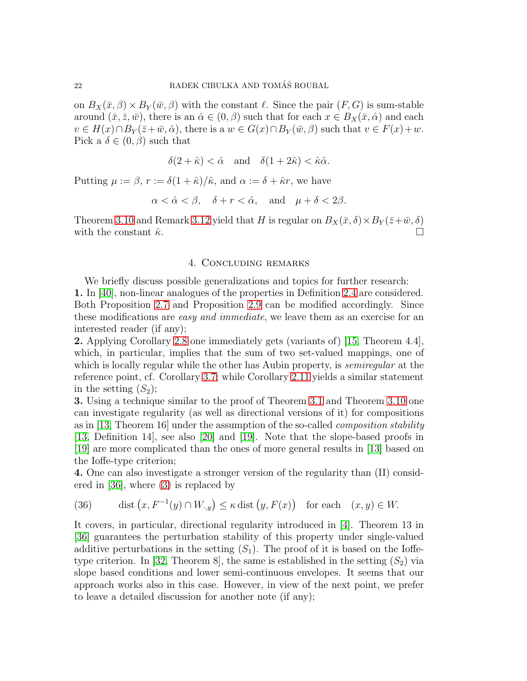on  $B_X(\bar{x},\beta) \times B_Y(\bar{w},\beta)$  with the constant  $\ell$ . Since the pair  $(F,G)$  is sum-stable around  $(\bar{x}, \bar{z}, \bar{w})$ , there is an  $\hat{\alpha} \in (0, \beta)$  such that for each  $x \in B_{X}(\bar{x}, \hat{\alpha})$  and each  $v \in H(x) \cap B_Y(\bar{z}+\bar{w}, \hat{\alpha})$ , there is a  $w \in G(x) \cap B_Y(\bar{w}, \beta)$  such that  $v \in F(x)+w$ . Pick a  $\delta \in (0, \beta)$  such that

$$
\delta(2+\hat{\kappa}) < \hat{\alpha} \quad \text{and} \quad \delta(1+2\hat{\kappa}) < \hat{\kappa}\hat{\alpha}.
$$

Putting  $\mu := \beta$ ,  $r := \delta(1 + \hat{\kappa})/\hat{\kappa}$ , and  $\alpha := \delta + \hat{\kappa}r$ , we have

$$
\alpha < \hat{\alpha} < \beta, \quad \delta + r < \hat{\alpha}, \quad \text{and} \quad \mu + \delta < 2\beta.
$$

<span id="page-21-0"></span>Theorem [3.10](#page-17-2) and Remark [3.12](#page-19-0) yield that H is regular on  $B_X(\bar{x}, \delta) \times B_Y(\bar{z}+\bar{w}, \delta)$ with the constant  $\hat{\kappa}$ .

#### 4. Concluding remarks

We briefly discuss possible generalizations and topics for further research: 1. In [\[40\]](#page-24-6), non-linear analogues of the properties in Definition [2.4](#page-6-3) are considered. Both Proposition [2.7](#page-7-3) and Proposition [2.9](#page-8-2) can be modified accordingly. Since these modifications are easy and immediate, we leave them as an exercise for an interested reader (if any);

2. Applying Corollary [2.8](#page-8-4) one immediately gets (variants of) [\[15,](#page-23-13) Theorem 4.4], which, in particular, implies that the sum of two set-valued mappings, one of which is locally regular while the other has Aubin property, is *semiregular* at the reference point, cf. Corollary [3.7;](#page-14-0) while Corollary [2.11](#page-10-2) yields a similar statement in the setting  $(S_2)$ ;

3. Using a technique similar to the proof of Theorem [3.1](#page-10-1) and Theorem [3.10](#page-17-2) one can investigate regularity (as well as directional versions of it) for compositions as in [\[13,](#page-23-15) Theorem 16] under the assumption of the so-called composition stability [\[13,](#page-23-15) Definition 14], see also [\[20\]](#page-23-16) and [\[19\]](#page-23-17). Note that the slope-based proofs in [\[19\]](#page-23-17) are more complicated than the ones of more general results in [\[13\]](#page-23-15) based on the Ioffe-type criterion;

4. One can also investigate a stronger version of the regularity than (II) considered in [\[36\]](#page-24-4), where [\(3\)](#page-4-2) is replaced by

<span id="page-21-1"></span>(36) dist 
$$
(x, F^{-1}(y) \cap W_{\cdot,y}) \le \kappa \text{ dist } (y, F(x))
$$
 for each  $(x, y) \in W$ .

It covers, in particular, directional regularity introduced in [\[4\]](#page-22-5). Theorem 13 in [\[36\]](#page-24-4) guarantees the perturbation stability of this property under single-valued additive perturbations in the setting  $(S_1)$ . The proof of it is based on the Ioffe-type criterion. In [\[32,](#page-23-6) Theorem 8], the same is established in the setting  $(S_2)$  via slope based conditions and lower semi-continuous envelopes. It seems that our approach works also in this case. However, in view of the next point, we prefer to leave a detailed discussion for another note (if any);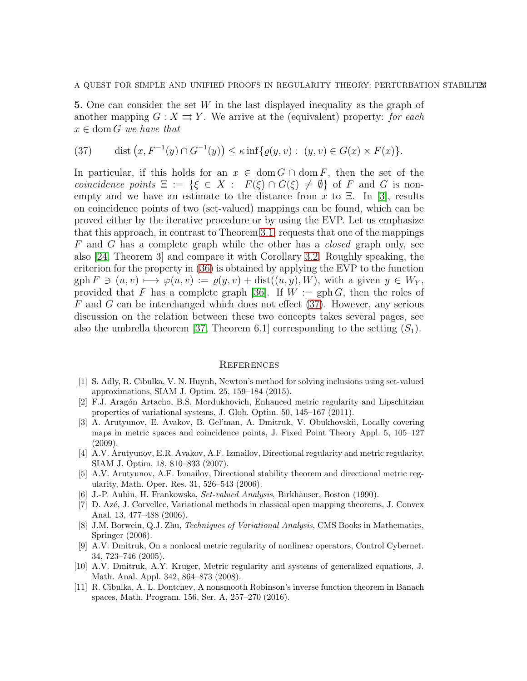A QUEST FOR SIMPLE AND UNIFIED PROOFS IN REGULARITY THEORY: PERTURBATION STABILITZS

5. One can consider the set W in the last displayed inequality as the graph of another mapping  $G : X \rightrightarrows Y$ . We arrive at the (equivalent) property: for each  $x \in \text{dom } G$  we have that

<span id="page-22-7"></span>(37) dist 
$$
(x, F^{-1}(y) \cap G^{-1}(y)) \le \kappa \inf \{ \varrho(y, v) : (y, v) \in G(x) \times F(x) \}.
$$

In particular, if this holds for an  $x \in \text{dom } G \cap \text{dom } F$ , then the set of the coincidence points  $\Xi := \{ \xi \in X : F(\xi) \cap G(\xi) \neq \emptyset \}$  of F and G is nonempty and we have an estimate to the distance from x to  $\Xi$ . In [\[3\]](#page-22-6), results on coincidence points of two (set-valued) mappings can be found, which can be proved either by the iterative procedure or by using the EVP. Let us emphasize that this approach, in contrast to Theorem [3.1,](#page-10-1) requests that one of the mappings F and G has a complete graph while the other has a closed graph only, see also [\[24,](#page-23-18) Theorem 3] and compare it with Corollary [3.2.](#page-12-1) Roughly speaking, the criterion for the property in [\(36\)](#page-21-1) is obtained by applying the EVP to the function  $gph F \ni (u, v) \longmapsto \varphi(u, v) := \varrho(y, v) + dist((u, y), W)$ , with a given  $y \in W_Y$ , provided that F has a complete graph [\[36\]](#page-24-4). If  $W := \text{gph } G$ , then the roles of  $F$  and  $G$  can be interchanged which does not effect [\(37\)](#page-22-7). However, any serious discussion on the relation between these two concepts takes several pages, see also the umbrella theorem [\[37,](#page-24-5) Theorem 6.1] corresponding to the setting  $(S_1)$ .

#### **REFERENCES**

- <span id="page-22-3"></span>[1] S. Adly, R. Cibulka, V. N. Huynh, Newton's method for solving inclusions using set-valued approximations, SIAM J. Optim. 25, 159–184 (2015).
- [2] F.J. Aragón Artacho, B.S. Mordukhovich, Enhanced metric regularity and Lipschitzian properties of variational systems, J. Glob. Optim. 50, 145–167 (2011).
- <span id="page-22-6"></span>[3] A. Arutyunov, E. Avakov, B. Gel'man, A. Dmitruk, V. Obukhovskii, Locally covering maps in metric spaces and coincidence points, J. Fixed Point Theory Appl. 5, 105–127 (2009).
- <span id="page-22-5"></span>[4] A.V. Arutyunov, E.R. Avakov, A.F. Izmailov, Directional regularity and metric regularity, SIAM J. Optim. 18, 810–833 (2007).
- [5] A.V. Arutyunov, A.F. Izmailov, Directional stability theorem and directional metric regularity, Math. Oper. Res. 31, 526–543 (2006).
- <span id="page-22-2"></span><span id="page-22-0"></span>[6] J.-P. Aubin, H. Frankowska, *Set-valued Analysis*, Birkhäuser, Boston (1990).
- [7] D. Az´e, J. Corvellec, Variational methods in classical open mapping theorems, J. Convex Anal. 13, 477–488 (2006).
- <span id="page-22-1"></span>[8] J.M. Borwein, Q.J. Zhu, Techniques of Variational Analysis, CMS Books in Mathematics, Springer (2006).
- [9] A.V. Dmitruk, On a nonlocal metric regularity of nonlinear operators, Control Cybernet. 34, 723–746 (2005).
- [10] A.V. Dmitruk, A.Y. Kruger, Metric regularity and systems of generalized equations, J. Math. Anal. Appl. 342, 864–873 (2008).
- <span id="page-22-4"></span>[11] R. Cibulka, A. L. Dontchev, A nonsmooth Robinson's inverse function theorem in Banach spaces, Math. Program. 156, Ser. A, 257–270 (2016).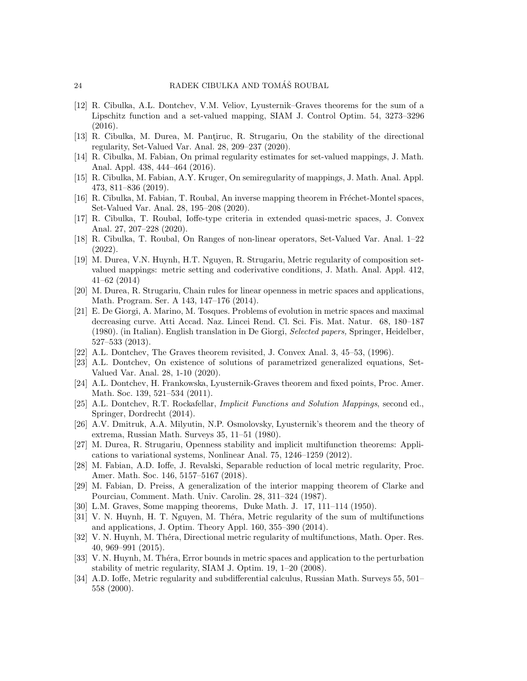- <span id="page-23-8"></span>[12] R. Cibulka, A.L. Dontchev, V.M. Veliov, Lyusternik–Graves theorems for the sum of a Lipschitz function and a set-valued mapping, SIAM J. Control Optim. 54, 3273–3296 (2016).
- <span id="page-23-15"></span>[13] R. Cibulka, M. Durea, M. Pantiruc, R. Strugariu, On the stability of the directional regularity, Set-Valued Var. Anal. 28, 209–237 (2020).
- <span id="page-23-9"></span>[14] R. Cibulka, M. Fabian, On primal regularity estimates for set-valued mappings, J. Math. Anal. Appl. 438, 444–464 (2016).
- <span id="page-23-13"></span>[15] R. Cibulka, M. Fabian, A.Y. Kruger, On semiregularity of mappings, J. Math. Anal. Appl. 473, 811–836 (2019).
- [16] R. Cibulka, M. Fabian, T. Roubal, An inverse mapping theorem in Fréchet-Montel spaces, Set-Valued Var. Anal. 28, 195–208 (2020).
- [17] R. Cibulka, T. Roubal, Ioffe-type criteria in extended quasi-metric spaces, J. Convex Anal. 27, 207–228 (2020).
- <span id="page-23-7"></span>[18] R. Cibulka, T. Roubal, On Ranges of non-linear operators, Set-Valued Var. Anal. 1–22 (2022).
- <span id="page-23-17"></span>[19] M. Durea, V.N. Huynh, H.T. Nguyen, R. Strugariu, Metric regularity of composition setvalued mappings: metric setting and coderivative conditions, J. Math. Anal. Appl. 412, 41–62 (2014)
- <span id="page-23-16"></span>[20] M. Durea, R. Strugariu, Chain rules for linear openness in metric spaces and applications, Math. Program. Ser. A 143, 147–176 (2014).
- <span id="page-23-4"></span>[21] E. De Giorgi, A. Marino, M. Tosques. Problems of evolution in metric spaces and maximal decreasing curve. Atti Accad. Naz. Lincei Rend. Cl. Sci. Fis. Mat. Natur. 68, 180–187 (1980). (in Italian). English translation in De Giorgi, Selected papers, Springer, Heidelber, 527–533 (2013).
- <span id="page-23-2"></span>[22] A.L. Dontchev, The Graves theorem revisited, J. Convex Anal. 3, 45–53, (1996).
- [23] A.L. Dontchev, On existence of solutions of parametrized generalized equations, Set-Valued Var. Anal. 28, 1-10 (2020).
- <span id="page-23-18"></span>[24] A.L. Dontchev, H. Frankowska, Lyusternik-Graves theorem and fixed points, Proc. Amer. Math. Soc. 139, 521–534 (2011).
- <span id="page-23-0"></span>[25] A.L. Dontchev, R.T. Rockafellar, Implicit Functions and Solution Mappings, second ed., Springer, Dordrecht (2014).
- [26] A.V. Dmitruk, A.A. Milyutin, N.P. Osmolovsky, Lyusternik's theorem and the theory of extrema, Russian Math. Surveys 35, 11–51 (1980).
- <span id="page-23-14"></span>[27] M. Durea, R. Strugariu, Openness stability and implicit multifunction theorems: Applications to variational systems, Nonlinear Anal. 75, 1246–1259 (2012).
- <span id="page-23-12"></span>[28] M. Fabian, A.D. Ioffe, J. Revalski, Separable reduction of local metric regularity, Proc. Amer. Math. Soc. 146, 5157–5167 (2018).
- <span id="page-23-10"></span>[29] M. Fabian, D. Preiss, A generalization of the interior mapping theorem of Clarke and Pourciau, Comment. Math. Univ. Carolin. 28, 311–324 (1987).
- <span id="page-23-5"></span><span id="page-23-1"></span>[30] L.M. Graves, Some mapping theorems, Duke Math. J. 17, 111–114 (1950).
- [31] V. N. Huynh, H. T. Nguyen, M. Théra, Metric regularity of the sum of multifunctions and applications, J. Optim. Theory Appl. 160, 355–390 (2014).
- <span id="page-23-6"></span>[32] V. N. Huynh, M. Théra, Directional metric regularity of multifunctions, Math. Oper. Res. 40, 969–991 (2015).
- <span id="page-23-3"></span>[33] V. N. Huynh, M. Théra, Error bounds in metric spaces and application to the perturbation stability of metric regularity, SIAM J. Optim. 19, 1–20 (2008).
- <span id="page-23-11"></span>[34] A.D. Ioffe, Metric regularity and subdifferential calculus, Russian Math. Surveys 55, 501– 558 (2000).